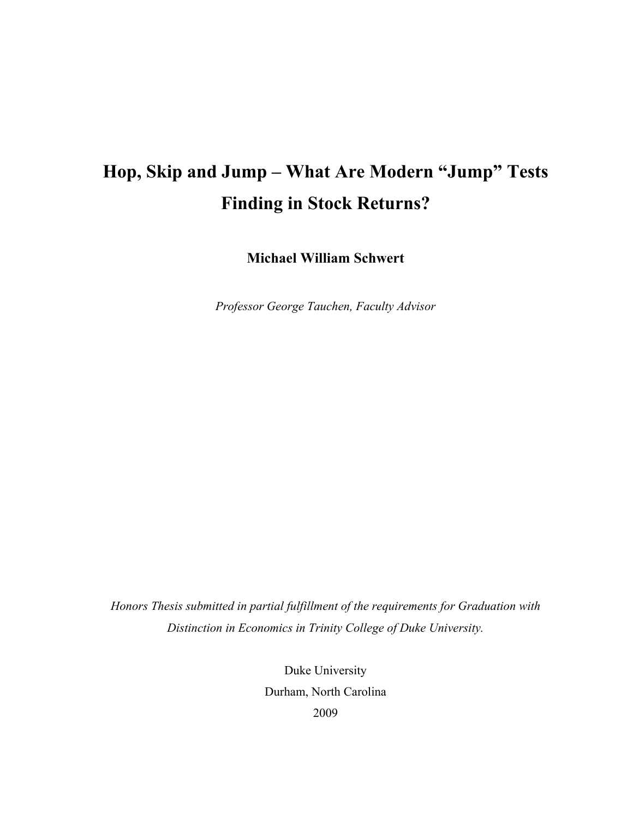# **Hop, Skip and Jump – What Are Modern "Jump" Tests Finding in Stock Returns?**

**Michael William Schwert** 

*Professor George Tauchen, Faculty Advisor* 

*Honors Thesis submitted in partial fulfillment of the requirements for Graduation with Distinction in Economics in Trinity College of Duke University.*

> Duke University Durham, North Carolina 2009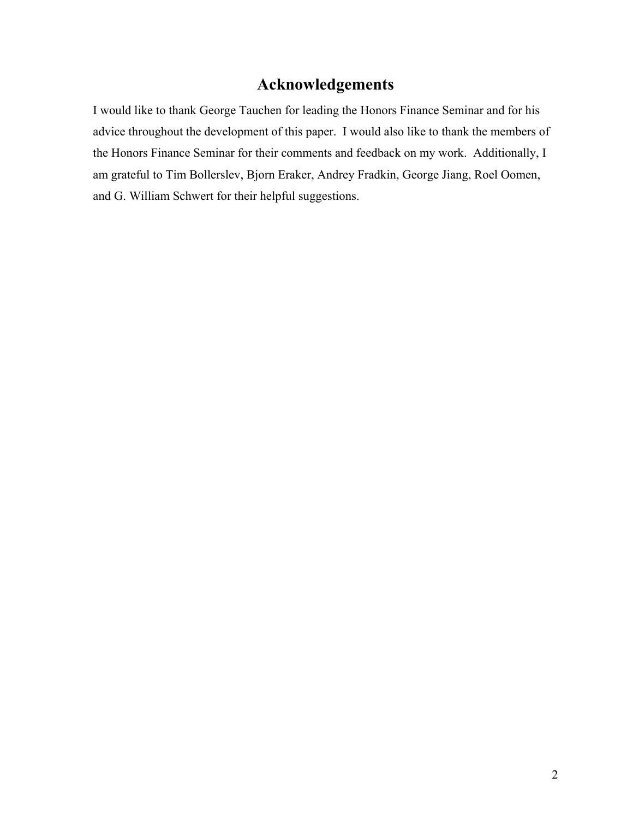# **Acknowledgements**

I would like to thank George Tauchen for leading the Honors Finance Seminar and for his advice throughout the development of this paper. I would also like to thank the members of the Honors Finance Seminar for their comments and feedback on my work. Additionally, I am grateful to Tim Bollerslev, Bjorn Eraker, Andrey Fradkin, George Jiang, Roel Oomen, and G. William Schwert for their helpful suggestions.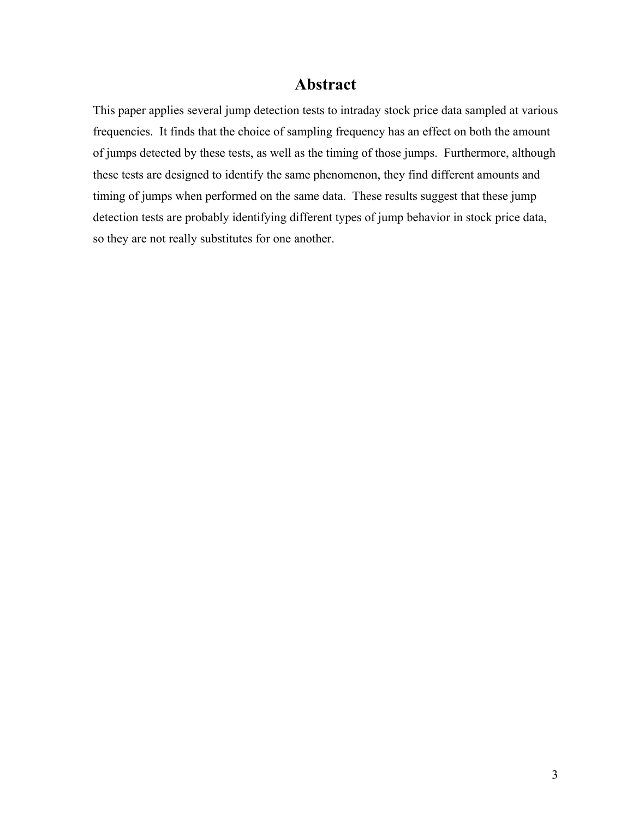### **Abstract**

This paper applies several jump detection tests to intraday stock price data sampled at various frequencies. It finds that the choice of sampling frequency has an effect on both the amount of jumps detected by these tests, as well as the timing of those jumps. Furthermore, although these tests are designed to identify the same phenomenon, they find different amounts and timing of jumps when performed on the same data. These results suggest that these jump detection tests are probably identifying different types of jump behavior in stock price data, so they are not really substitutes for one another.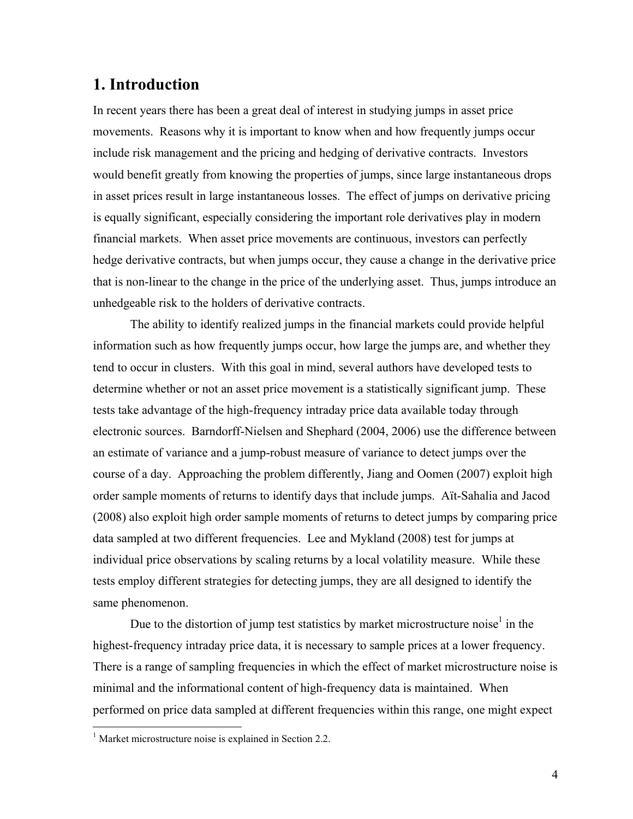### **1. Introduction**

In recent years there has been a great deal of interest in studying jumps in asset price movements. Reasons why it is important to know when and how frequently jumps occur include risk management and the pricing and hedging of derivative contracts. Investors would benefit greatly from knowing the properties of jumps, since large instantaneous drops in asset prices result in large instantaneous losses. The effect of jumps on derivative pricing is equally significant, especially considering the important role derivatives play in modern financial markets. When asset price movements are continuous, investors can perfectly hedge derivative contracts, but when jumps occur, they cause a change in the derivative price that is non-linear to the change in the price of the underlying asset. Thus, jumps introduce an unhedgeable risk to the holders of derivative contracts.

The ability to identify realized jumps in the financial markets could provide helpful information such as how frequently jumps occur, how large the jumps are, and whether they tend to occur in clusters. With this goal in mind, several authors have developed tests to determine whether or not an asset price movement is a statistically significant jump. These tests take advantage of the high-frequency intraday price data available today through electronic sources. Barndorff-Nielsen and Shephard (2004, 2006) use the difference between an estimate of variance and a jump-robust measure of variance to detect jumps over the course of a day. Approaching the problem differently, Jiang and Oomen (2007) exploit high order sample moments of returns to identify days that include jumps. Aїt-Sahalia and Jacod (2008) also exploit high order sample moments of returns to detect jumps by comparing price data sampled at two different frequencies. Lee and Mykland (2008) test for jumps at individual price observations by scaling returns by a local volatility measure. While these tests employ different strategies for detecting jumps, they are all designed to identify the same phenomenon.

Due to the distortion of jump test statistics by market microstructure noise<sup>1</sup> in the highest-frequency intraday price data, it is necessary to sample prices at a lower frequency. There is a range of sampling frequencies in which the effect of market microstructure noise is minimal and the informational content of high-frequency data is maintained. When performed on price data sampled at different frequencies within this range, one might expect

 $\overline{a}$ 

<sup>&</sup>lt;sup>1</sup> Market microstructure noise is explained in Section 2.2.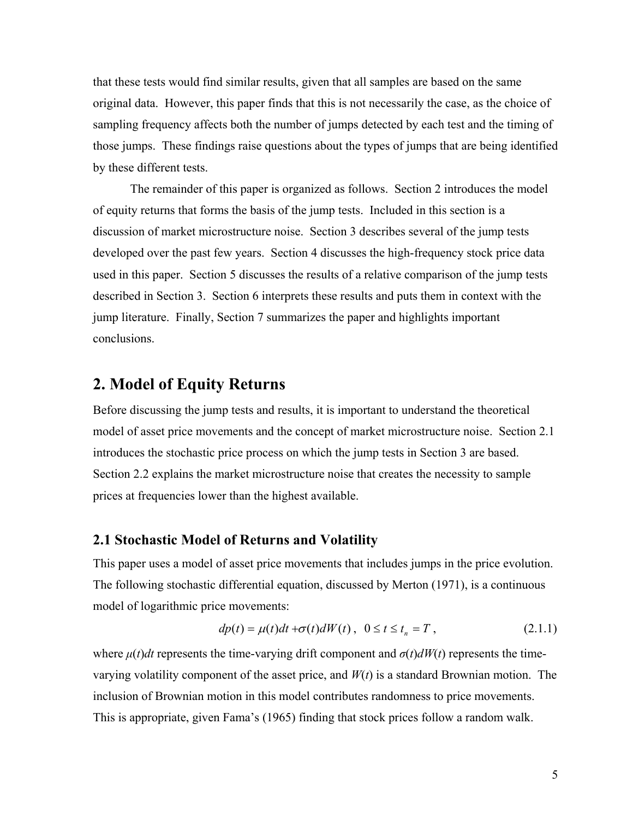that these tests would find similar results, given that all samples are based on the same original data. However, this paper finds that this is not necessarily the case, as the choice of sampling frequency affects both the number of jumps detected by each test and the timing of those jumps. These findings raise questions about the types of jumps that are being identified by these different tests.

The remainder of this paper is organized as follows. Section 2 introduces the model of equity returns that forms the basis of the jump tests. Included in this section is a discussion of market microstructure noise. Section 3 describes several of the jump tests developed over the past few years. Section 4 discusses the high-frequency stock price data used in this paper. Section 5 discusses the results of a relative comparison of the jump tests described in Section 3. Section 6 interprets these results and puts them in context with the jump literature. Finally, Section 7 summarizes the paper and highlights important conclusions.

### **2. Model of Equity Returns**

Before discussing the jump tests and results, it is important to understand the theoretical model of asset price movements and the concept of market microstructure noise. Section 2.1 introduces the stochastic price process on which the jump tests in Section 3 are based. Section 2.2 explains the market microstructure noise that creates the necessity to sample prices at frequencies lower than the highest available.

#### **2.1 Stochastic Model of Returns and Volatility**

This paper uses a model of asset price movements that includes jumps in the price evolution. The following stochastic differential equation, discussed by Merton (1971), is a continuous model of logarithmic price movements:

$$
dp(t) = \mu(t)dt + \sigma(t)dW(t), \quad 0 \le t \le t_n = T,
$$
\n(2.1.1)

where  $\mu(t)dt$  represents the time-varying drift component and  $\sigma(t)dW(t)$  represents the timevarying volatility component of the asset price, and *W*(*t*) is a standard Brownian motion. The inclusion of Brownian motion in this model contributes randomness to price movements. This is appropriate, given Fama's (1965) finding that stock prices follow a random walk.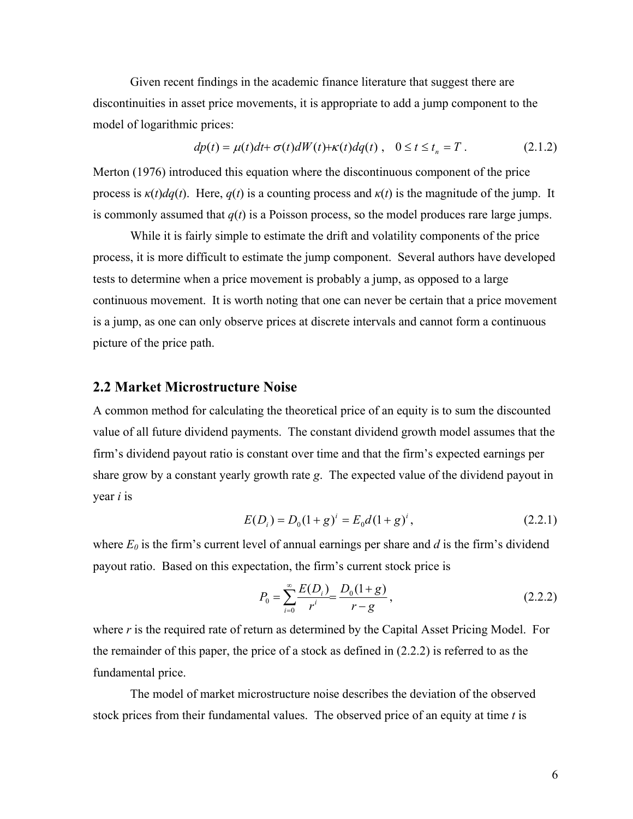Given recent findings in the academic finance literature that suggest there are discontinuities in asset price movements, it is appropriate to add a jump component to the model of logarithmic prices:

$$
dp(t) = \mu(t)dt + \sigma(t)dW(t) + \kappa(t)dq(t), \quad 0 \le t \le t_n = T. \tag{2.1.2}
$$

Merton (1976) introduced this equation where the discontinuous component of the price process is  $\kappa(t) dq(t)$ . Here,  $q(t)$  is a counting process and  $\kappa(t)$  is the magnitude of the jump. It is commonly assumed that  $q(t)$  is a Poisson process, so the model produces rare large jumps.

 While it is fairly simple to estimate the drift and volatility components of the price process, it is more difficult to estimate the jump component. Several authors have developed tests to determine when a price movement is probably a jump, as opposed to a large continuous movement. It is worth noting that one can never be certain that a price movement is a jump, as one can only observe prices at discrete intervals and cannot form a continuous picture of the price path.

### **2.2 Market Microstructure Noise**

A common method for calculating the theoretical price of an equity is to sum the discounted value of all future dividend payments. The constant dividend growth model assumes that the firm's dividend payout ratio is constant over time and that the firm's expected earnings per share grow by a constant yearly growth rate *g*. The expected value of the dividend payout in year *i* is

$$
E(D_i) = D_0(1+g)^i = E_0d(1+g)^i,
$$
\n(2.2.1)

where  $E_0$  is the firm's current level of annual earnings per share and  $d$  is the firm's dividend payout ratio. Based on this expectation, the firm's current stock price is

$$
P_0 = \sum_{i=0}^{\infty} \frac{E(D_i)}{r^i} = \frac{D_0(1+g)}{r-g},
$$
\n(2.2.2)

where *r* is the required rate of return as determined by the Capital Asset Pricing Model. For the remainder of this paper, the price of a stock as defined in  $(2.2.2)$  is referred to as the fundamental price.

 The model of market microstructure noise describes the deviation of the observed stock prices from their fundamental values. The observed price of an equity at time *t* is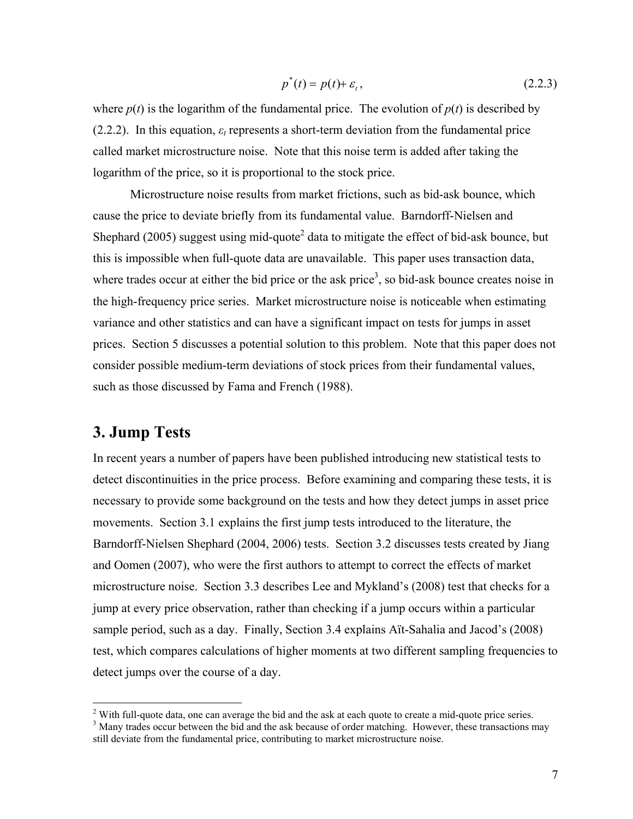$$
p^*(t) = p(t) + \varepsilon_t, \qquad (2.2.3)
$$

where  $p(t)$  is the logarithm of the fundamental price. The evolution of  $p(t)$  is described by (2.2.2). In this equation,  $\varepsilon_t$  represents a short-term deviation from the fundamental price called market microstructure noise. Note that this noise term is added after taking the logarithm of the price, so it is proportional to the stock price.

Microstructure noise results from market frictions, such as bid-ask bounce, which cause the price to deviate briefly from its fundamental value. Barndorff-Nielsen and Shephard (2005) suggest using mid-quote<sup>2</sup> data to mitigate the effect of bid-ask bounce, but this is impossible when full-quote data are unavailable. This paper uses transaction data, where trades occur at either the bid price or the ask price<sup>3</sup>, so bid-ask bounce creates noise in the high-frequency price series. Market microstructure noise is noticeable when estimating variance and other statistics and can have a significant impact on tests for jumps in asset prices. Section 5 discusses a potential solution to this problem. Note that this paper does not consider possible medium-term deviations of stock prices from their fundamental values, such as those discussed by Fama and French (1988).

### **3. Jump Tests**

1

In recent years a number of papers have been published introducing new statistical tests to detect discontinuities in the price process. Before examining and comparing these tests, it is necessary to provide some background on the tests and how they detect jumps in asset price movements. Section 3.1 explains the first jump tests introduced to the literature, the Barndorff-Nielsen Shephard (2004, 2006) tests. Section 3.2 discusses tests created by Jiang and Oomen (2007), who were the first authors to attempt to correct the effects of market microstructure noise. Section 3.3 describes Lee and Mykland's (2008) test that checks for a jump at every price observation, rather than checking if a jump occurs within a particular sample period, such as a day. Finally, Section 3.4 explains Aїt-Sahalia and Jacod's (2008) test, which compares calculations of higher moments at two different sampling frequencies to detect jumps over the course of a day.

<sup>&</sup>lt;sup>2</sup> With full-quote data, one can average the bid and the ask at each quote to create a mid-quote price series.<br><sup>3</sup> Many tredes eagur between the bid and the sek because of order matching. However, these transactions n <sup>3</sup> Many trades occur between the bid and the ask because of order matching. However, these transactions may still deviate from the fundamental price, contributing to market microstructure noise.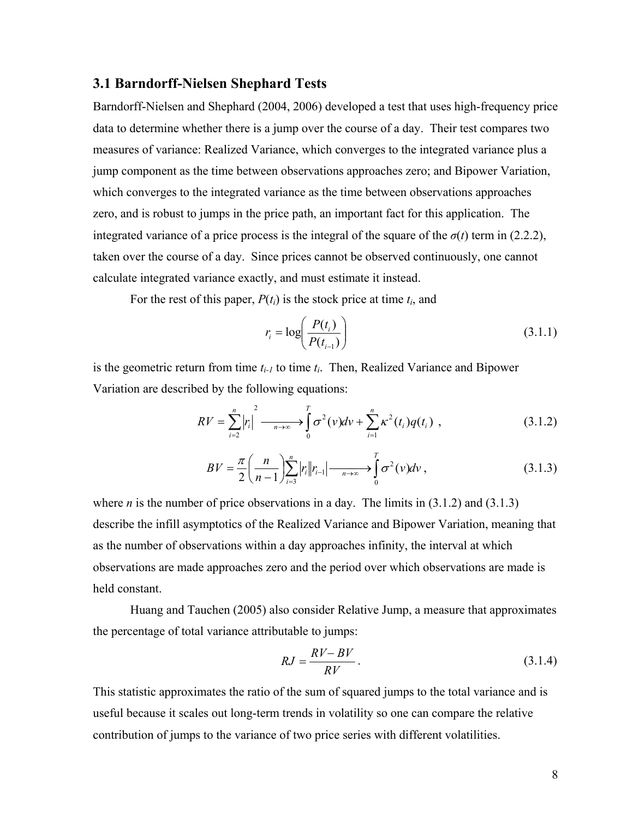#### **3.1 Barndorff-Nielsen Shephard Tests**

Barndorff-Nielsen and Shephard (2004, 2006) developed a test that uses high-frequency price data to determine whether there is a jump over the course of a day. Their test compares two measures of variance: Realized Variance, which converges to the integrated variance plus a jump component as the time between observations approaches zero; and Bipower Variation, which converges to the integrated variance as the time between observations approaches zero, and is robust to jumps in the price path, an important fact for this application. The integrated variance of a price process is the integral of the square of the  $\sigma(t)$  term in (2.2.2), taken over the course of a day. Since prices cannot be observed continuously, one cannot calculate integrated variance exactly, and must estimate it instead.

For the rest of this paper,  $P(t_i)$  is the stock price at time  $t_i$ , and

$$
r_i = \log\left(\frac{P(t_i)}{P(t_{i-1})}\right) \tag{3.1.1}
$$

is the geometric return from time *ti-1* to time *ti*. Then, Realized Variance and Bipower Variation are described by the following equations:

$$
RV = \sum_{i=2}^{n} |r_i|^2 \xrightarrow[n \to \infty]{} \int_{0}^{T} \sigma^2(v) dv + \sum_{i=1}^{n} \kappa^2(t_i) q(t_i) , \qquad (3.1.2)
$$

$$
BV = \frac{\pi}{2} \left( \frac{n}{n-1} \right) \sum_{i=3}^{n} |r_i| |r_{i-1}| \longrightarrow \int_{0}^{T} \sigma^2(v) dv , \qquad (3.1.3)
$$

where *n* is the number of price observations in a day. The limits in  $(3.1.2)$  and  $(3.1.3)$ describe the infill asymptotics of the Realized Variance and Bipower Variation, meaning that as the number of observations within a day approaches infinity, the interval at which observations are made approaches zero and the period over which observations are made is held constant.

Huang and Tauchen (2005) also consider Relative Jump, a measure that approximates the percentage of total variance attributable to jumps:

$$
RJ = \frac{RV - BV}{RV}.
$$
\n(3.1.4)

This statistic approximates the ratio of the sum of squared jumps to the total variance and is useful because it scales out long-term trends in volatility so one can compare the relative contribution of jumps to the variance of two price series with different volatilities.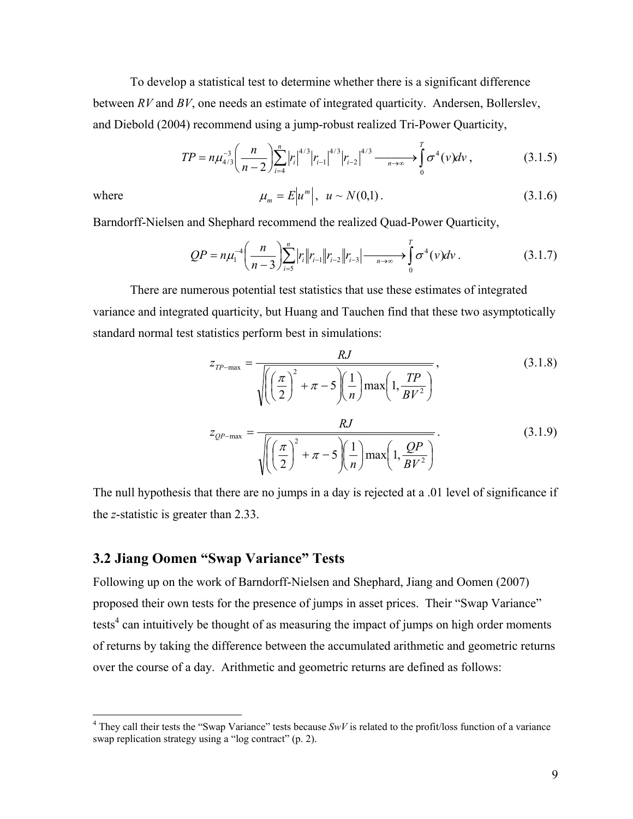To develop a statistical test to determine whether there is a significant difference between *RV* and *BV*, one needs an estimate of integrated quarticity. Andersen, Bollerslev, and Diebold (2004) recommend using a jump-robust realized Tri-Power Quarticity,

$$
TP = n\mu_{4/3}^{-3} \left(\frac{n}{n-2}\right) \sum_{i=4}^{n} |r_i|^{4/3} |r_{i-1}|^{4/3} |r_{i-2}|^{4/3} \longrightarrow \int_{0}^{T} \sigma^4(\nu) d\nu , \qquad (3.1.5)
$$

 $\overline{a}$ 

where 
$$
\mu_m = E|u^m|, \ u \sim N(0,1).
$$
 (3.1.6)

Barndorff-Nielsen and Shephard recommend the realized Quad-Power Quarticity,

$$
QP = n\mu_1^{-4}\left(\frac{n}{n-3}\right) \sum_{i=5}^n |r_i||r_{i-1}||r_{i-2}||r_{i-3}| \longrightarrow \int_0^T \sigma^4(\nu)d\nu.
$$
 (3.1.7)

 There are numerous potential test statistics that use these estimates of integrated variance and integrated quarticity, but Huang and Tauchen find that these two asymptotically standard normal test statistics perform best in simulations:

$$
z_{TP-\max} = \frac{RJ}{\sqrt{\left(\left(\frac{\pi}{2}\right)^2 + \pi - 5\right)\left(\frac{1}{n}\right)\max\left(1, \frac{TP}{BY^2}\right)}},
$$
(3.1.8)  

$$
z_{QP-\max} = \frac{RJ}{\sqrt{\left(\left(\frac{\pi}{2}\right)^2 + \pi - 5\right)\left(\frac{1}{n}\right)\max\left(1, \frac{QP}{BY^2}\right)}}.
$$
(3.1.9)

The null hypothesis that there are no jumps in a day is rejected at a .01 level of significance if the *z*-statistic is greater than 2.33.

### **3.2 Jiang Oomen "Swap Variance" Tests**

Following up on the work of Barndorff-Nielsen and Shephard, Jiang and Oomen (2007) proposed their own tests for the presence of jumps in asset prices. Their "Swap Variance" tests<sup>4</sup> can intuitively be thought of as measuring the impact of jumps on high order moments of returns by taking the difference between the accumulated arithmetic and geometric returns over the course of a day. Arithmetic and geometric returns are defined as follows:

<sup>&</sup>lt;sup>4</sup> They call their tests the "Swap Variance" tests because  $SwV$  is related to the profit/loss function of a variance swap replication strategy using a "log contract" (p. 2).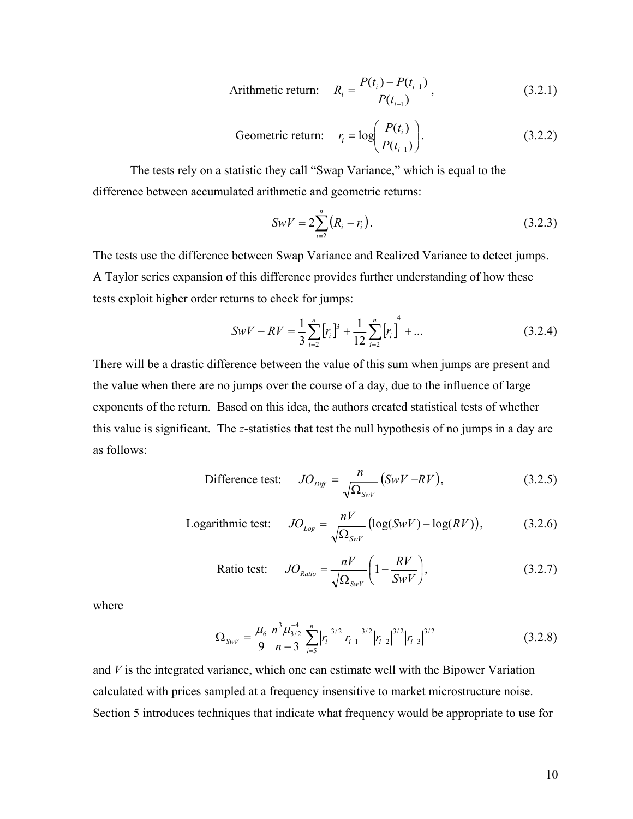Arithmetic return: 
$$
R_i = \frac{P(t_i) - P(t_{i-1})}{P(t_{i-1})}
$$
, (3.2.1)

Geometric return: 
$$
r_i = \log \left( \frac{P(t_i)}{P(t_{i-1})} \right)
$$
. (3.2.2)

The tests rely on a statistic they call "Swap Variance," which is equal to the difference between accumulated arithmetic and geometric returns:

$$
SwV = 2\sum_{i=2}^{n} (R_i - r_i).
$$
 (3.2.3)

The tests use the difference between Swap Variance and Realized Variance to detect jumps. A Taylor series expansion of this difference provides further understanding of how these tests exploit higher order returns to check for jumps:

$$
SwV - RV = \frac{1}{3} \sum_{i=2}^{n} [r_i]^3 + \frac{1}{12} \sum_{i=2}^{n} [r_i]^4 + \dots
$$
 (3.2.4)

There will be a drastic difference between the value of this sum when jumps are present and the value when there are no jumps over the course of a day, due to the influence of large exponents of the return. Based on this idea, the authors created statistical tests of whether this value is significant. The *z*-statistics that test the null hypothesis of no jumps in a day are as follows:

$$
\text{Difference test:} \quad JO_{\text{Diff}} = \frac{n}{\sqrt{\Omega_{\text{SWV}}}} (SwV - RV), \tag{3.2.5}
$$

Logarithmic test: 
$$
JO_{Log} = \frac{nV}{\sqrt{\Omega_{SWV}}} \left( \log(SwV) - \log(RV) \right), \tag{3.2.6}
$$

Ratio test: 
$$
JO_{Ratio} = \frac{nV}{\sqrt{\Omega_{SwV}}} \left( 1 - \frac{RV}{SwV} \right),
$$
 (3.2.7)

where

$$
\Omega_{\text{SWV}} = \frac{\mu_6}{9} \frac{n^3 \mu_{3/2}^{-4}}{n-3} \sum_{i=5}^n |r_i|^{3/2} |r_{i-1}|^{3/2} |r_{i-2}|^{3/2} |r_{i-3}|^{3/2}
$$
\n(3.2.8)

and *V* is the integrated variance, which one can estimate well with the Bipower Variation calculated with prices sampled at a frequency insensitive to market microstructure noise. Section 5 introduces techniques that indicate what frequency would be appropriate to use for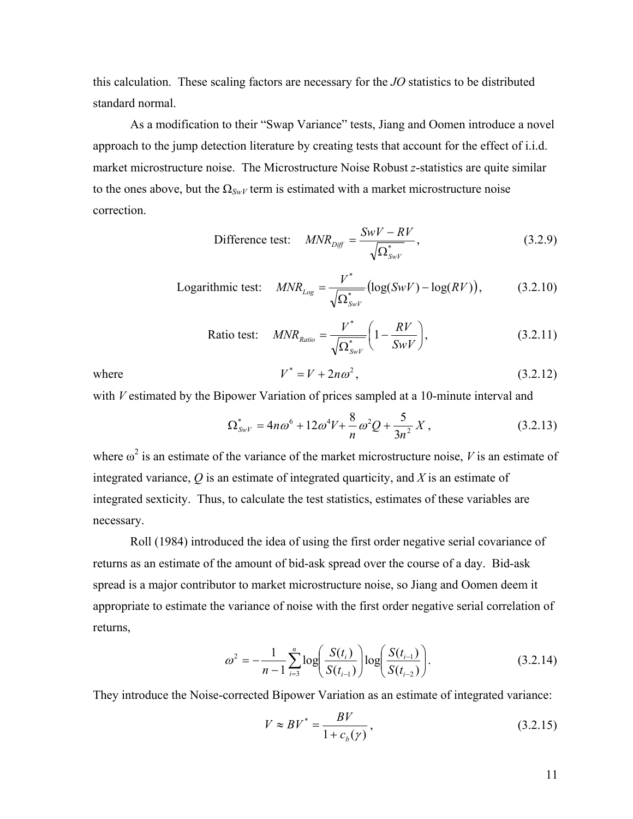this calculation. These scaling factors are necessary for the *JO* statistics to be distributed standard normal.

As a modification to their "Swap Variance" tests, Jiang and Oomen introduce a novel approach to the jump detection literature by creating tests that account for the effect of i.i.d. market microstructure noise. The Microstructure Noise Robust *z*-statistics are quite similar to the ones above, but the  $\Omega_{\text{SwV}}$  term is estimated with a market microstructure noise correction.

$$
\text{Difference test:} \quad MNR_{\text{Diff}} = \frac{SwV - RV}{\sqrt{\Omega_{SwV}^*}}, \tag{3.2.9}
$$

Logarithmic test: 
$$
MNR_{Log} = \frac{V^*}{\sqrt{\Omega^*_{SwV}}} \left( \log(SwV) - \log(RV) \right),
$$
 (3.2.10)

Ratio test: 
$$
MNR_{Ratio} = \frac{V^*}{\sqrt{\Omega^*_{SwV}}} \left(1 - \frac{RV}{SWV}\right),
$$
 (3.2.11)

where 
$$
V^* = V + 2n\omega^2, \qquad (3.2.12)
$$

with *V* estimated by the Bipower Variation of prices sampled at a 10-minute interval and

$$
\Omega_{SwV}^* = 4n\omega^6 + 12\omega^4 V + \frac{8}{n}\omega^2 Q + \frac{5}{3n^2} X\,,\tag{3.2.13}
$$

where  $\omega^2$  is an estimate of the variance of the market microstructure noise, *V* is an estimate of integrated variance, *Q* is an estimate of integrated quarticity, and *X* is an estimate of integrated sexticity. Thus, to calculate the test statistics, estimates of these variables are necessary.

Roll (1984) introduced the idea of using the first order negative serial covariance of returns as an estimate of the amount of bid-ask spread over the course of a day. Bid-ask spread is a major contributor to market microstructure noise, so Jiang and Oomen deem it appropriate to estimate the variance of noise with the first order negative serial correlation of returns,

$$
\omega^2 = -\frac{1}{n-1} \sum_{i=3}^n \log \left( \frac{S(t_i)}{S(t_{i-1})} \right) \log \left( \frac{S(t_{i-1})}{S(t_{i-2})} \right). \tag{3.2.14}
$$

They introduce the Noise-corrected Bipower Variation as an estimate of integrated variance:

$$
V \approx BV^* = \frac{BV}{1 + c_b(\gamma)},\tag{3.2.15}
$$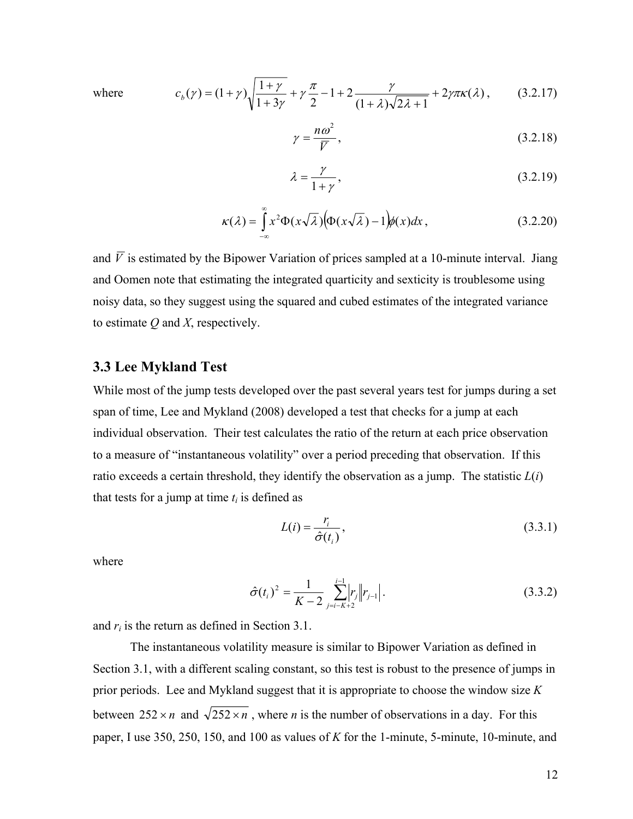where 
$$
c_b(\gamma) = (1+\gamma)\sqrt{\frac{1+\gamma}{1+3\gamma}} + \gamma \frac{\pi}{2} - 1 + 2 \frac{\gamma}{(1+\lambda)\sqrt{2\lambda+1}} + 2\gamma \pi \kappa(\lambda), \qquad (3.2.17)
$$

$$
\gamma = \frac{n\omega^2}{\overline{V}},\tag{3.2.18}
$$

$$
\lambda = \frac{\gamma}{1 + \gamma},\tag{3.2.19}
$$

$$
\kappa(\lambda) = \int_{-\infty}^{\infty} x^2 \Phi(x\sqrt{\lambda}) \Big( \Phi(x\sqrt{\lambda}) - 1 \Big) \phi(x) dx , \qquad (3.2.20)
$$

and  $\overline{V}$  is estimated by the Bipower Variation of prices sampled at a 10-minute interval. Jiang and Oomen note that estimating the integrated quarticity and sexticity is troublesome using noisy data, so they suggest using the squared and cubed estimates of the integrated variance to estimate *Q* and *X*, respectively.

### **3.3 Lee Mykland Test**

While most of the jump tests developed over the past several years test for jumps during a set span of time, Lee and Mykland (2008) developed a test that checks for a jump at each individual observation. Their test calculates the ratio of the return at each price observation to a measure of "instantaneous volatility" over a period preceding that observation. If this ratio exceeds a certain threshold, they identify the observation as a jump. The statistic *L*(*i*) that tests for a jump at time  $t_i$  is defined as

$$
L(i) = \frac{r_i}{\hat{\sigma}(t_i)},
$$
\n(3.3.1)

where

$$
\hat{\sigma}(t_i)^2 = \frac{1}{K-2} \sum_{j=i-K+2}^{i-1} |r_j| |r_{j-1}|.
$$
\n(3.3.2)

and  $r_i$  is the return as defined in Section 3.1.

The instantaneous volatility measure is similar to Bipower Variation as defined in Section 3.1, with a different scaling constant, so this test is robust to the presence of jumps in prior periods. Lee and Mykland suggest that it is appropriate to choose the window size *K* between  $252 \times n$  and  $\sqrt{252 \times n}$ , where *n* is the number of observations in a day. For this paper, I use 350, 250, 150, and 100 as values of *K* for the 1-minute, 5-minute, 10-minute, and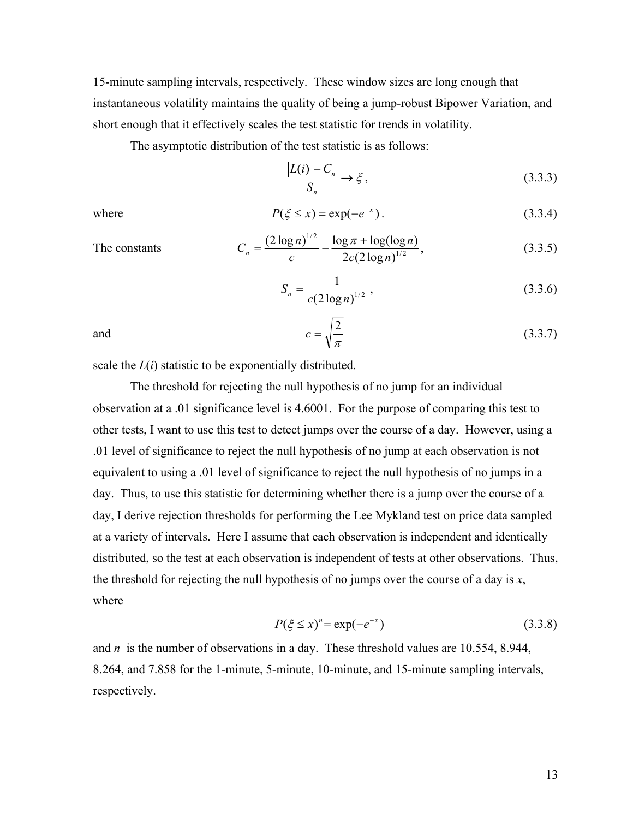15-minute sampling intervals, respectively. These window sizes are long enough that instantaneous volatility maintains the quality of being a jump-robust Bipower Variation, and short enough that it effectively scales the test statistic for trends in volatility.

The asymptotic distribution of the test statistic is as follows:

$$
\frac{|L(i)| - C_n}{S_n} \to \xi, \qquad (3.3.3)
$$

where 
$$
P(\xi \le x) = \exp(-e^{-x}).
$$
 (3.3.4)

The constants 
$$
C_n = \frac{(2 \log n)^{1/2}}{c} - \frac{\log \pi + \log(\log n)}{2c(2 \log n)^{1/2}},
$$
 (3.3.5)

$$
S_n = \frac{1}{c(2\log n)^{1/2}},
$$
\n(3.3.6)

and

$$
c = \sqrt{\frac{2}{\pi}}\tag{3.3.7}
$$

scale the *L*(*i*) statistic to be exponentially distributed.

The threshold for rejecting the null hypothesis of no jump for an individual observation at a .01 significance level is 4.6001. For the purpose of comparing this test to other tests, I want to use this test to detect jumps over the course of a day. However, using a .01 level of significance to reject the null hypothesis of no jump at each observation is not equivalent to using a .01 level of significance to reject the null hypothesis of no jumps in a day. Thus, to use this statistic for determining whether there is a jump over the course of a day, I derive rejection thresholds for performing the Lee Mykland test on price data sampled at a variety of intervals. Here I assume that each observation is independent and identically distributed, so the test at each observation is independent of tests at other observations. Thus, the threshold for rejecting the null hypothesis of no jumps over the course of a day is *x*, where

$$
P(\xi \le x)^n = \exp(-e^{-x})
$$
 (3.3.8)

and *n* is the number of observations in a day. These threshold values are 10.554, 8.944, 8.264, and 7.858 for the 1-minute, 5-minute, 10-minute, and 15-minute sampling intervals, respectively.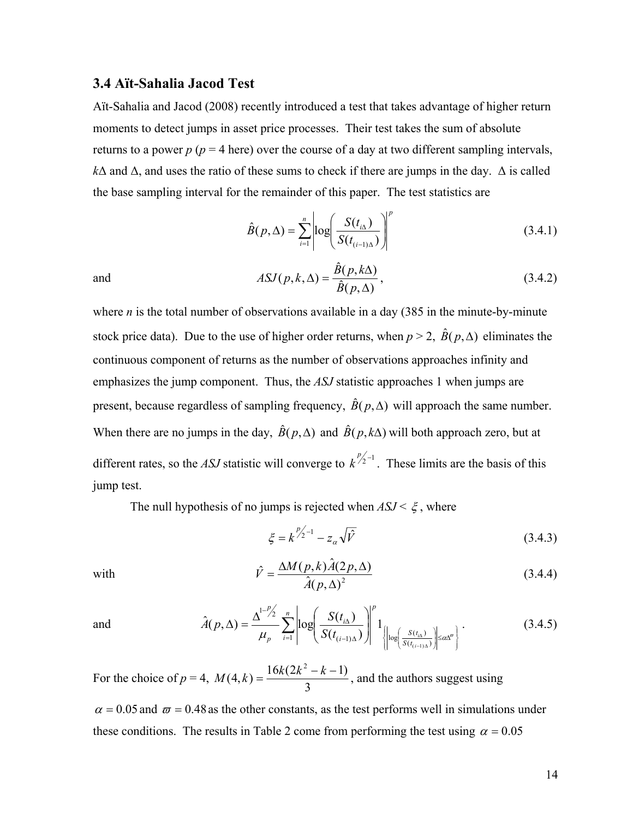#### **3.4 Aїt-Sahalia Jacod Test**

Aїt-Sahalia and Jacod (2008) recently introduced a test that takes advantage of higher return moments to detect jumps in asset price processes. Their test takes the sum of absolute returns to a power  $p (p = 4 \text{ here})$  over the course of a day at two different sampling intervals,  $k\Delta$  and  $\Delta$ , and uses the ratio of these sums to check if there are jumps in the day.  $\Delta$  is called the base sampling interval for the remainder of this paper. The test statistics are

$$
\hat{B}(p,\Delta) = \sum_{i=1}^{n} \left| \log \left( \frac{S(t_{i\Delta})}{S(t_{(i-1)\Delta})} \right) \right|^{p}
$$
\n(3.4.1)

 $ASJ(p, k, \Delta) = \frac{\hat{B}(p, k\Delta)}{\hat{B}(p, \Delta)},$  (3.4.2)

where  $n$  is the total number of observations available in a day (385 in the minute-by-minute stock price data). Due to the use of higher order returns, when  $p > 2$ ,  $\hat{B}(p, \Delta)$  eliminates the continuous component of returns as the number of observations approaches infinity and emphasizes the jump component. Thus, the *ASJ* statistic approaches 1 when jumps are present, because regardless of sampling frequency,  $\hat{B}(p,\Delta)$  will approach the same number. When there are no jumps in the day,  $\hat{B}(p, \Delta)$  and  $\hat{B}(p, k\Delta)$  will both approach zero, but at different rates, so the *ASJ* statistic will converge to  $k^{\frac{p}{2}-1}$ . These limits are the basis of this jump test.

The null hypothesis of no jumps is rejected when  $ASJ < \xi$ , where

$$
\xi = k^{\frac{p}{2}-1} - z_{\alpha} \sqrt{\hat{V}}
$$
 (3.4.3)

and

with 
$$
\hat{V} = \frac{\Delta M(p,k)\hat{A}(2p,\Delta)}{\hat{A}(p,\Delta)^2}
$$
 (3.4.4)

and 
$$
\hat{A}(p,\Delta) = \frac{\Delta^{1-\frac{p}{2}}}{\mu_p} \sum_{i=1}^n \left| \log \left( \frac{S(t_{i\Delta})}{S(t_{(i-1)\Delta})} \right)^p 1_{\left\{ \left| \log \left( \frac{S(t_{i\Delta})}{S(t_{(i-1)\Delta})} \right) \right| \leq \alpha \Delta^m \right\}} \right. \tag{3.4.5}
$$

For the choice of  $p = 4$ ,  $M(4, k) = \frac{16k(2k^2 - k - 1)}{3}$ , and the authors suggest using

 $\alpha$  = 0.05 and  $\sigma$  = 0.48 as the other constants, as the test performs well in simulations under these conditions. The results in Table 2 come from performing the test using  $\alpha = 0.05$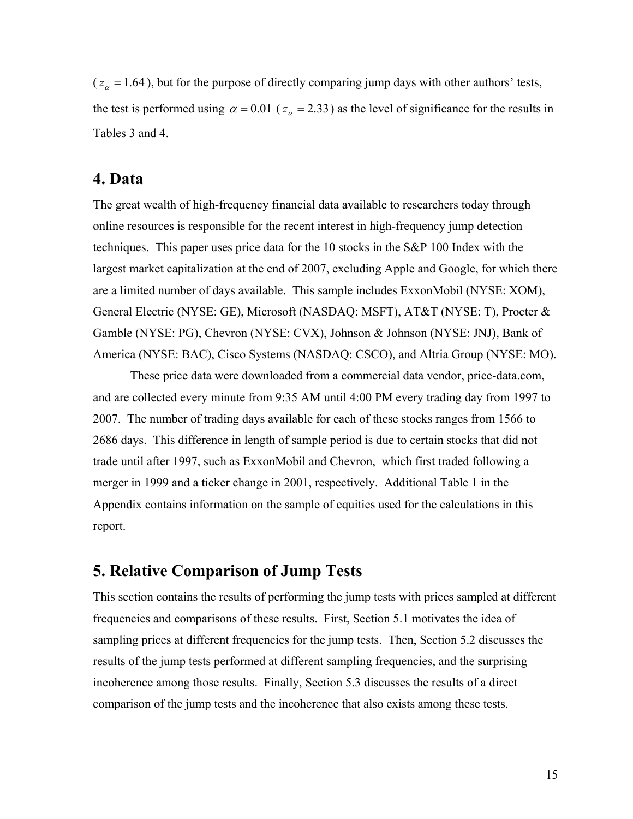$(z_{\alpha} = 1.64)$ , but for the purpose of directly comparing jump days with other authors' tests, the test is performed using  $\alpha = 0.01$  ( $z_a = 2.33$ ) as the level of significance for the results in Tables 3 and 4.

### **4. Data**

The great wealth of high-frequency financial data available to researchers today through online resources is responsible for the recent interest in high-frequency jump detection techniques. This paper uses price data for the 10 stocks in the S&P 100 Index with the largest market capitalization at the end of 2007, excluding Apple and Google, for which there are a limited number of days available. This sample includes ExxonMobil (NYSE: XOM), General Electric (NYSE: GE), Microsoft (NASDAQ: MSFT), AT&T (NYSE: T), Procter & Gamble (NYSE: PG), Chevron (NYSE: CVX), Johnson & Johnson (NYSE: JNJ), Bank of America (NYSE: BAC), Cisco Systems (NASDAQ: CSCO), and Altria Group (NYSE: MO).

These price data were downloaded from a commercial data vendor, price-data.com, and are collected every minute from 9:35 AM until 4:00 PM every trading day from 1997 to 2007. The number of trading days available for each of these stocks ranges from 1566 to 2686 days. This difference in length of sample period is due to certain stocks that did not trade until after 1997, such as ExxonMobil and Chevron, which first traded following a merger in 1999 and a ticker change in 2001, respectively. Additional Table 1 in the Appendix contains information on the sample of equities used for the calculations in this report.

### **5. Relative Comparison of Jump Tests**

This section contains the results of performing the jump tests with prices sampled at different frequencies and comparisons of these results. First, Section 5.1 motivates the idea of sampling prices at different frequencies for the jump tests. Then, Section 5.2 discusses the results of the jump tests performed at different sampling frequencies, and the surprising incoherence among those results. Finally, Section 5.3 discusses the results of a direct comparison of the jump tests and the incoherence that also exists among these tests.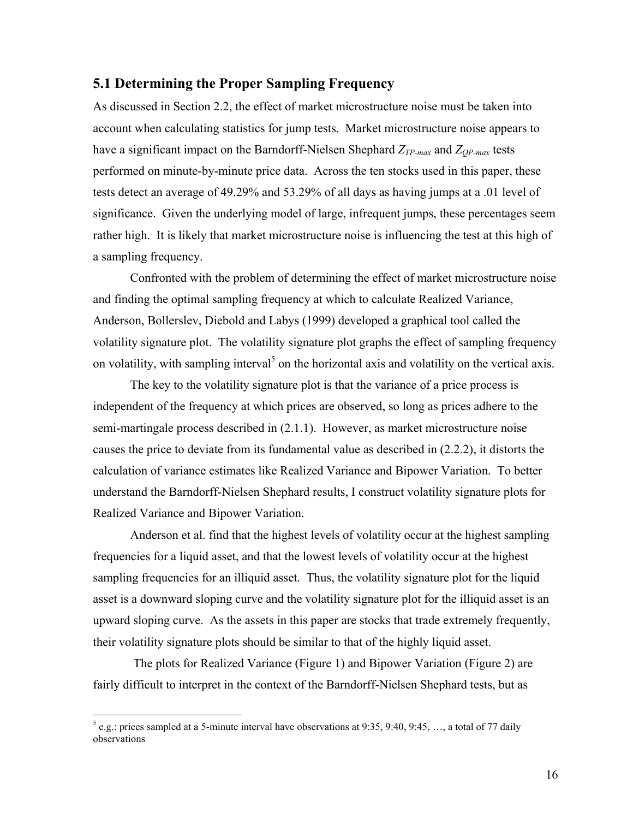### **5.1 Determining the Proper Sampling Frequency**

As discussed in Section 2.2, the effect of market microstructure noise must be taken into account when calculating statistics for jump tests. Market microstructure noise appears to have a significant impact on the Barndorff-Nielsen Shephard  $Z_{TP-max}$  and  $Z_{OP-max}$  tests performed on minute-by-minute price data. Across the ten stocks used in this paper, these tests detect an average of 49.29% and 53.29% of all days as having jumps at a .01 level of significance. Given the underlying model of large, infrequent jumps, these percentages seem rather high. It is likely that market microstructure noise is influencing the test at this high of a sampling frequency.

Confronted with the problem of determining the effect of market microstructure noise and finding the optimal sampling frequency at which to calculate Realized Variance, Anderson, Bollerslev, Diebold and Labys (1999) developed a graphical tool called the volatility signature plot. The volatility signature plot graphs the effect of sampling frequency on volatility, with sampling interval<sup>5</sup> on the horizontal axis and volatility on the vertical axis.

The key to the volatility signature plot is that the variance of a price process is independent of the frequency at which prices are observed, so long as prices adhere to the semi-martingale process described in (2.1.1). However, as market microstructure noise causes the price to deviate from its fundamental value as described in (2.2.2), it distorts the calculation of variance estimates like Realized Variance and Bipower Variation. To better understand the Barndorff-Nielsen Shephard results, I construct volatility signature plots for Realized Variance and Bipower Variation.

Anderson et al. find that the highest levels of volatility occur at the highest sampling frequencies for a liquid asset, and that the lowest levels of volatility occur at the highest sampling frequencies for an illiquid asset. Thus, the volatility signature plot for the liquid asset is a downward sloping curve and the volatility signature plot for the illiquid asset is an upward sloping curve. As the assets in this paper are stocks that trade extremely frequently, their volatility signature plots should be similar to that of the highly liquid asset.

 The plots for Realized Variance (Figure 1) and Bipower Variation (Figure 2) are fairly difficult to interpret in the context of the Barndorff-Nielsen Shephard tests, but as

1

 $5$  e.g.: prices sampled at a 5-minute interval have observations at 9:35, 9:40, 9:45, ..., a total of 77 daily observations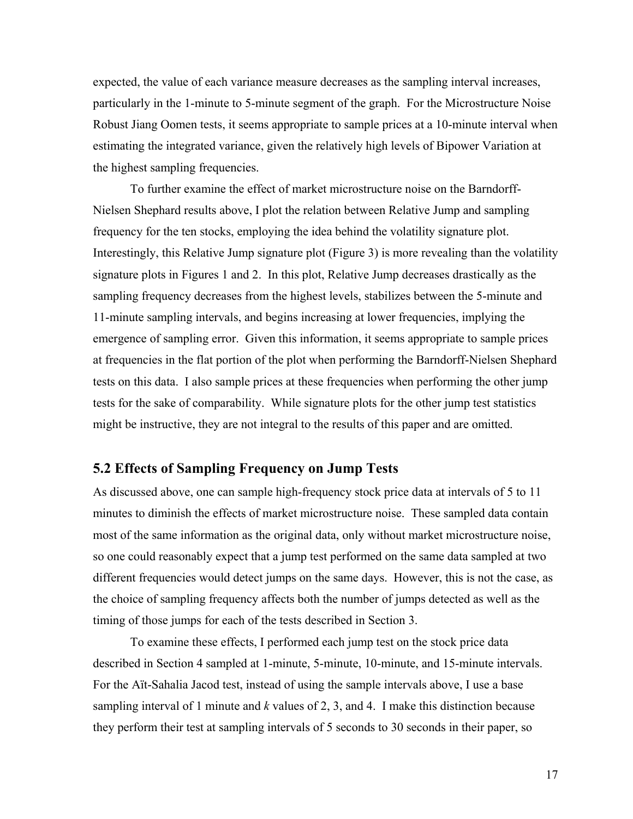expected, the value of each variance measure decreases as the sampling interval increases, particularly in the 1-minute to 5-minute segment of the graph. For the Microstructure Noise Robust Jiang Oomen tests, it seems appropriate to sample prices at a 10-minute interval when estimating the integrated variance, given the relatively high levels of Bipower Variation at the highest sampling frequencies.

To further examine the effect of market microstructure noise on the Barndorff-Nielsen Shephard results above, I plot the relation between Relative Jump and sampling frequency for the ten stocks, employing the idea behind the volatility signature plot. Interestingly, this Relative Jump signature plot (Figure 3) is more revealing than the volatility signature plots in Figures 1 and 2. In this plot, Relative Jump decreases drastically as the sampling frequency decreases from the highest levels, stabilizes between the 5-minute and 11-minute sampling intervals, and begins increasing at lower frequencies, implying the emergence of sampling error. Given this information, it seems appropriate to sample prices at frequencies in the flat portion of the plot when performing the Barndorff-Nielsen Shephard tests on this data. I also sample prices at these frequencies when performing the other jump tests for the sake of comparability. While signature plots for the other jump test statistics might be instructive, they are not integral to the results of this paper and are omitted.

### **5.2 Effects of Sampling Frequency on Jump Tests**

As discussed above, one can sample high-frequency stock price data at intervals of 5 to 11 minutes to diminish the effects of market microstructure noise. These sampled data contain most of the same information as the original data, only without market microstructure noise, so one could reasonably expect that a jump test performed on the same data sampled at two different frequencies would detect jumps on the same days. However, this is not the case, as the choice of sampling frequency affects both the number of jumps detected as well as the timing of those jumps for each of the tests described in Section 3.

 To examine these effects, I performed each jump test on the stock price data described in Section 4 sampled at 1-minute, 5-minute, 10-minute, and 15-minute intervals. For the Aїt-Sahalia Jacod test, instead of using the sample intervals above, I use a base sampling interval of 1 minute and *k* values of 2, 3, and 4. I make this distinction because they perform their test at sampling intervals of 5 seconds to 30 seconds in their paper, so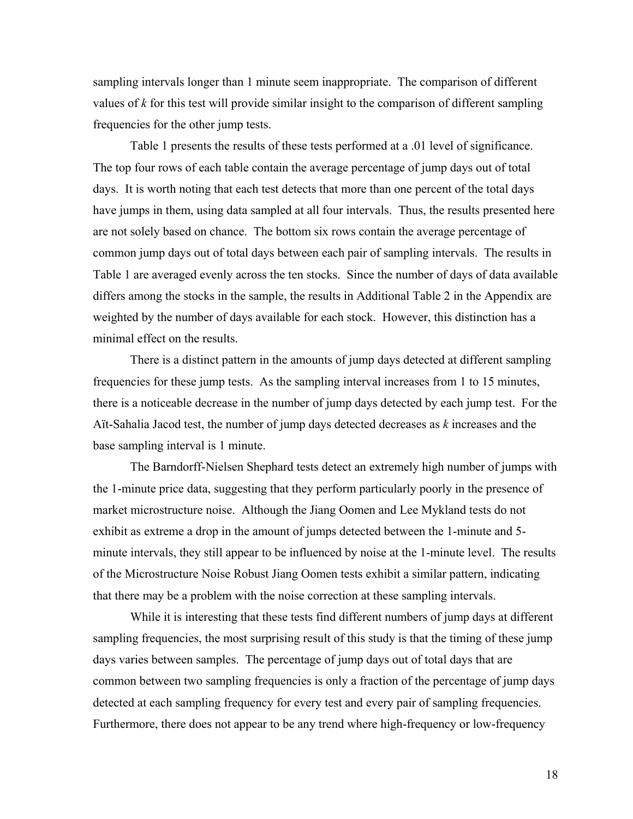sampling intervals longer than 1 minute seem inappropriate. The comparison of different values of *k* for this test will provide similar insight to the comparison of different sampling frequencies for the other jump tests.

Table 1 presents the results of these tests performed at a .01 level of significance. The top four rows of each table contain the average percentage of jump days out of total days. It is worth noting that each test detects that more than one percent of the total days have jumps in them, using data sampled at all four intervals. Thus, the results presented here are not solely based on chance. The bottom six rows contain the average percentage of common jump days out of total days between each pair of sampling intervals. The results in Table 1 are averaged evenly across the ten stocks. Since the number of days of data available differs among the stocks in the sample, the results in Additional Table 2 in the Appendix are weighted by the number of days available for each stock. However, this distinction has a minimal effect on the results.

 There is a distinct pattern in the amounts of jump days detected at different sampling frequencies for these jump tests. As the sampling interval increases from 1 to 15 minutes, there is a noticeable decrease in the number of jump days detected by each jump test. For the Aїt-Sahalia Jacod test, the number of jump days detected decreases as *k* increases and the base sampling interval is 1 minute.

 The Barndorff-Nielsen Shephard tests detect an extremely high number of jumps with the 1-minute price data, suggesting that they perform particularly poorly in the presence of market microstructure noise. Although the Jiang Oomen and Lee Mykland tests do not exhibit as extreme a drop in the amount of jumps detected between the 1-minute and 5 minute intervals, they still appear to be influenced by noise at the 1-minute level. The results of the Microstructure Noise Robust Jiang Oomen tests exhibit a similar pattern, indicating that there may be a problem with the noise correction at these sampling intervals.

 While it is interesting that these tests find different numbers of jump days at different sampling frequencies, the most surprising result of this study is that the timing of these jump days varies between samples. The percentage of jump days out of total days that are common between two sampling frequencies is only a fraction of the percentage of jump days detected at each sampling frequency for every test and every pair of sampling frequencies. Furthermore, there does not appear to be any trend where high-frequency or low-frequency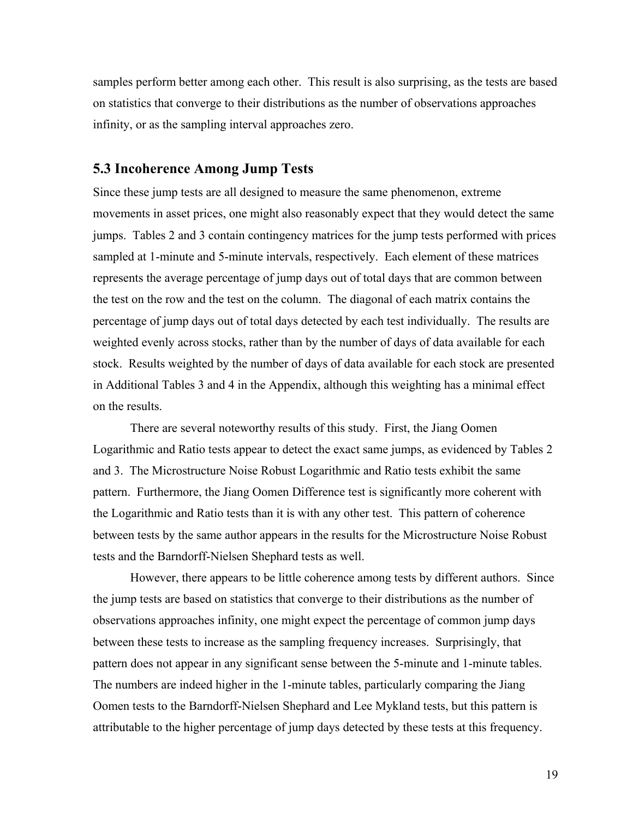samples perform better among each other. This result is also surprising, as the tests are based on statistics that converge to their distributions as the number of observations approaches infinity, or as the sampling interval approaches zero.

### **5.3 Incoherence Among Jump Tests**

Since these jump tests are all designed to measure the same phenomenon, extreme movements in asset prices, one might also reasonably expect that they would detect the same jumps. Tables 2 and 3 contain contingency matrices for the jump tests performed with prices sampled at 1-minute and 5-minute intervals, respectively. Each element of these matrices represents the average percentage of jump days out of total days that are common between the test on the row and the test on the column. The diagonal of each matrix contains the percentage of jump days out of total days detected by each test individually. The results are weighted evenly across stocks, rather than by the number of days of data available for each stock. Results weighted by the number of days of data available for each stock are presented in Additional Tables 3 and 4 in the Appendix, although this weighting has a minimal effect on the results.

 There are several noteworthy results of this study. First, the Jiang Oomen Logarithmic and Ratio tests appear to detect the exact same jumps, as evidenced by Tables 2 and 3. The Microstructure Noise Robust Logarithmic and Ratio tests exhibit the same pattern. Furthermore, the Jiang Oomen Difference test is significantly more coherent with the Logarithmic and Ratio tests than it is with any other test. This pattern of coherence between tests by the same author appears in the results for the Microstructure Noise Robust tests and the Barndorff-Nielsen Shephard tests as well.

However, there appears to be little coherence among tests by different authors. Since the jump tests are based on statistics that converge to their distributions as the number of observations approaches infinity, one might expect the percentage of common jump days between these tests to increase as the sampling frequency increases. Surprisingly, that pattern does not appear in any significant sense between the 5-minute and 1-minute tables. The numbers are indeed higher in the 1-minute tables, particularly comparing the Jiang Oomen tests to the Barndorff-Nielsen Shephard and Lee Mykland tests, but this pattern is attributable to the higher percentage of jump days detected by these tests at this frequency.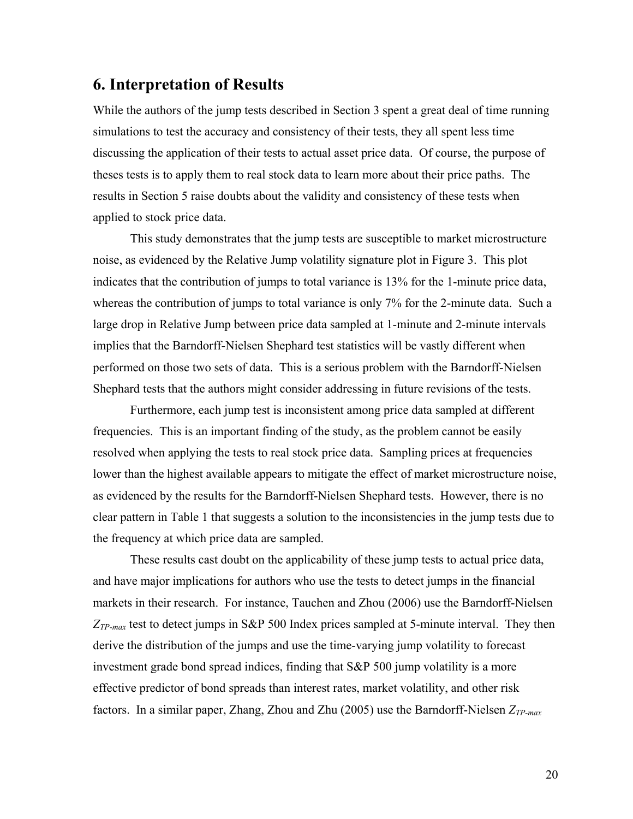### **6. Interpretation of Results**

While the authors of the jump tests described in Section 3 spent a great deal of time running simulations to test the accuracy and consistency of their tests, they all spent less time discussing the application of their tests to actual asset price data. Of course, the purpose of theses tests is to apply them to real stock data to learn more about their price paths. The results in Section 5 raise doubts about the validity and consistency of these tests when applied to stock price data.

This study demonstrates that the jump tests are susceptible to market microstructure noise, as evidenced by the Relative Jump volatility signature plot in Figure 3. This plot indicates that the contribution of jumps to total variance is 13% for the 1-minute price data, whereas the contribution of jumps to total variance is only 7% for the 2-minute data. Such a large drop in Relative Jump between price data sampled at 1-minute and 2-minute intervals implies that the Barndorff-Nielsen Shephard test statistics will be vastly different when performed on those two sets of data. This is a serious problem with the Barndorff-Nielsen Shephard tests that the authors might consider addressing in future revisions of the tests.

Furthermore, each jump test is inconsistent among price data sampled at different frequencies. This is an important finding of the study, as the problem cannot be easily resolved when applying the tests to real stock price data. Sampling prices at frequencies lower than the highest available appears to mitigate the effect of market microstructure noise, as evidenced by the results for the Barndorff-Nielsen Shephard tests. However, there is no clear pattern in Table 1 that suggests a solution to the inconsistencies in the jump tests due to the frequency at which price data are sampled.

 These results cast doubt on the applicability of these jump tests to actual price data, and have major implications for authors who use the tests to detect jumps in the financial markets in their research. For instance, Tauchen and Zhou (2006) use the Barndorff-Nielsen *ZTP-max* test to detect jumps in S&P 500 Index prices sampled at 5-minute interval. They then derive the distribution of the jumps and use the time-varying jump volatility to forecast investment grade bond spread indices, finding that S&P 500 jump volatility is a more effective predictor of bond spreads than interest rates, market volatility, and other risk factors. In a similar paper, Zhang, Zhou and Zhu (2005) use the Barndorff-Nielsen  $Z_{TP-max}$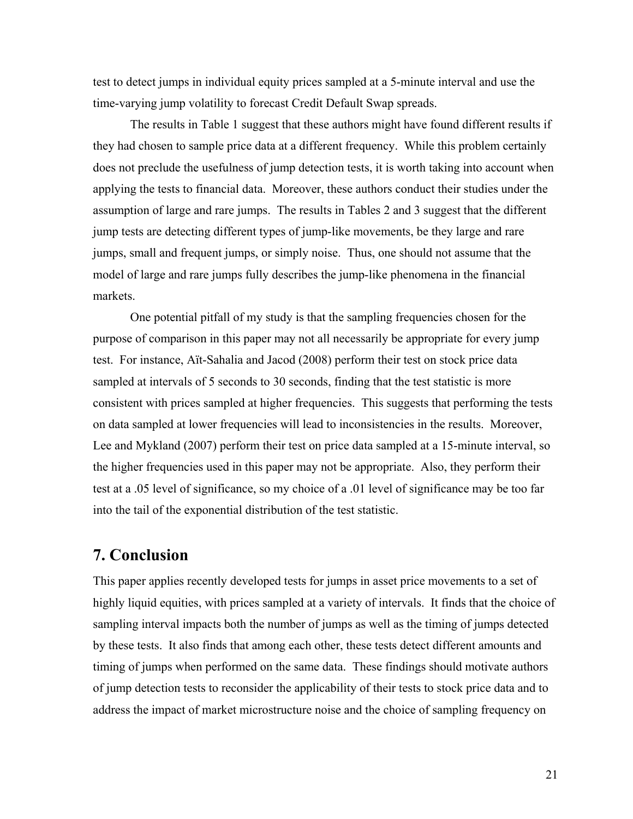test to detect jumps in individual equity prices sampled at a 5-minute interval and use the time-varying jump volatility to forecast Credit Default Swap spreads.

The results in Table 1 suggest that these authors might have found different results if they had chosen to sample price data at a different frequency. While this problem certainly does not preclude the usefulness of jump detection tests, it is worth taking into account when applying the tests to financial data. Moreover, these authors conduct their studies under the assumption of large and rare jumps. The results in Tables 2 and 3 suggest that the different jump tests are detecting different types of jump-like movements, be they large and rare jumps, small and frequent jumps, or simply noise. Thus, one should not assume that the model of large and rare jumps fully describes the jump-like phenomena in the financial markets.

 One potential pitfall of my study is that the sampling frequencies chosen for the purpose of comparison in this paper may not all necessarily be appropriate for every jump test. For instance, Aїt-Sahalia and Jacod (2008) perform their test on stock price data sampled at intervals of 5 seconds to 30 seconds, finding that the test statistic is more consistent with prices sampled at higher frequencies. This suggests that performing the tests on data sampled at lower frequencies will lead to inconsistencies in the results. Moreover, Lee and Mykland (2007) perform their test on price data sampled at a 15-minute interval, so the higher frequencies used in this paper may not be appropriate. Also, they perform their test at a .05 level of significance, so my choice of a .01 level of significance may be too far into the tail of the exponential distribution of the test statistic.

### **7. Conclusion**

This paper applies recently developed tests for jumps in asset price movements to a set of highly liquid equities, with prices sampled at a variety of intervals. It finds that the choice of sampling interval impacts both the number of jumps as well as the timing of jumps detected by these tests. It also finds that among each other, these tests detect different amounts and timing of jumps when performed on the same data. These findings should motivate authors of jump detection tests to reconsider the applicability of their tests to stock price data and to address the impact of market microstructure noise and the choice of sampling frequency on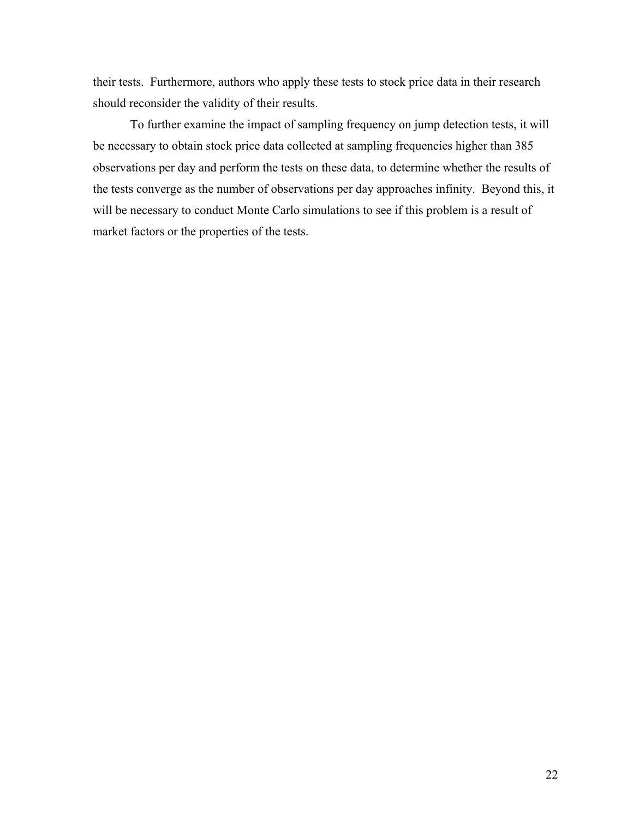their tests. Furthermore, authors who apply these tests to stock price data in their research should reconsider the validity of their results.

 To further examine the impact of sampling frequency on jump detection tests, it will be necessary to obtain stock price data collected at sampling frequencies higher than 385 observations per day and perform the tests on these data, to determine whether the results of the tests converge as the number of observations per day approaches infinity. Beyond this, it will be necessary to conduct Monte Carlo simulations to see if this problem is a result of market factors or the properties of the tests.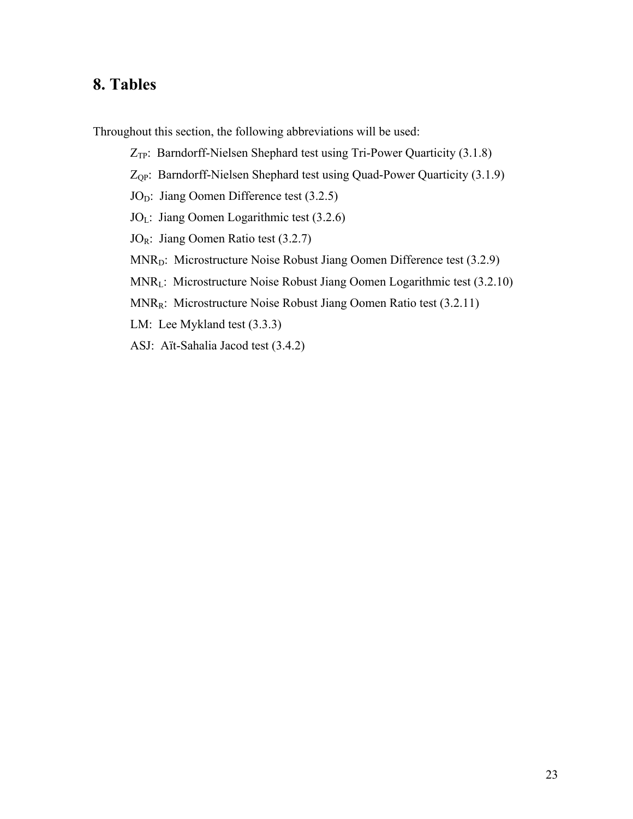# **8. Tables**

Throughout this section, the following abbreviations will be used:

 $Z_{TP}$ : Barndorff-Nielsen Shephard test using Tri-Power Quarticity (3.1.8)

Z<sub>OP</sub>: Barndorff-Nielsen Shephard test using Quad-Power Quarticity (3.1.9)

JO<sub>D</sub>: Jiang Oomen Difference test (3.2.5)

 $JO_L$ : Jiang Oomen Logarithmic test (3.2.6)

JOR: Jiang Oomen Ratio test (3.2.7)

MNR<sub>D</sub>: Microstructure Noise Robust Jiang Oomen Difference test (3.2.9)

MNRL: Microstructure Noise Robust Jiang Oomen Logarithmic test (3.2.10)

MNRR: Microstructure Noise Robust Jiang Oomen Ratio test (3.2.11)

LM: Lee Mykland test (3.3.3)

ASJ: Aїt-Sahalia Jacod test (3.4.2)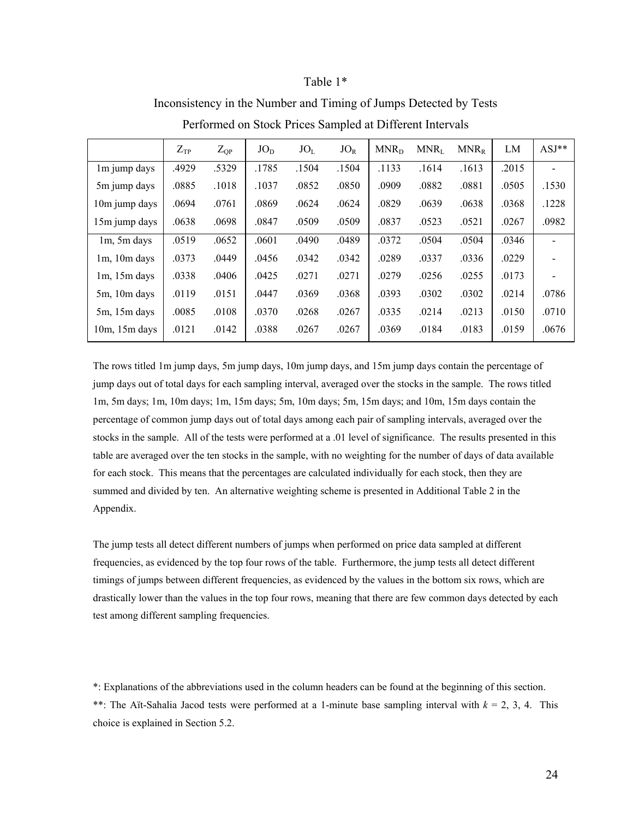#### Table 1\*

|                    | $Z_{TP}$ | $Z_{OP}$ | $JO_D$ | JO <sub>L</sub> | $JO_R$ | $MNR_D$ | $MNR_L$ | $MNR_R$ | LM    | $ASJ**$                  |
|--------------------|----------|----------|--------|-----------------|--------|---------|---------|---------|-------|--------------------------|
| 1m jump days       | .4929    | .5329    | .1785  | .1504           | .1504  | .1133   | .1614   | .1613   | .2015 |                          |
| 5m jump days       | .0885    | .1018    | .1037  | .0852           | .0850  | .0909   | .0882   | .0881   | .0505 | .1530                    |
| 10m jump days      | .0694    | .0761    | .0869  | .0624           | .0624  | .0829   | .0639   | .0638   | .0368 | .1228                    |
| 15m jump days      | .0638    | .0698    | .0847  | .0509           | .0509  | .0837   | .0523   | .0521   | .0267 | .0982                    |
| $1m$ , 5m days     | .0519    | .0652    | .0601  | .0490           | .0489  | .0372   | .0504   | .0504   | .0346 | $\overline{\phantom{a}}$ |
| $1m$ , $10m$ days  | .0373    | .0449    | .0456  | .0342           | .0342  | .0289   | .0337   | .0336   | .0229 | $\overline{a}$           |
| $1m$ , $15m$ days  | .0338    | .0406    | .0425  | .0271           | .0271  | .0279   | .0256   | .0255   | .0173 | $\overline{\phantom{a}}$ |
| $5m$ , 10 $m$ days | .0119    | .0151    | .0447  | .0369           | .0368  | .0393   | .0302   | .0302   | .0214 | .0786                    |
| $5m$ , $15m$ days  | .0085    | .0108    | .0370  | .0268           | .0267  | .0335   | .0214   | .0213   | .0150 | .0710                    |
| $10m$ , $15m$ days | .0121    | .0142    | .0388  | .0267           | .0267  | .0369   | .0184   | .0183   | .0159 | .0676                    |

Inconsistency in the Number and Timing of Jumps Detected by Tests

|  | Performed on Stock Prices Sampled at Different Intervals |
|--|----------------------------------------------------------|
|  |                                                          |

The rows titled 1m jump days, 5m jump days, 10m jump days, and 15m jump days contain the percentage of jump days out of total days for each sampling interval, averaged over the stocks in the sample. The rows titled 1m, 5m days; 1m, 10m days; 1m, 15m days; 5m, 10m days; 5m, 15m days; and 10m, 15m days contain the percentage of common jump days out of total days among each pair of sampling intervals, averaged over the stocks in the sample. All of the tests were performed at a .01 level of significance. The results presented in this table are averaged over the ten stocks in the sample, with no weighting for the number of days of data available for each stock. This means that the percentages are calculated individually for each stock, then they are summed and divided by ten. An alternative weighting scheme is presented in Additional Table 2 in the Appendix.

The jump tests all detect different numbers of jumps when performed on price data sampled at different frequencies, as evidenced by the top four rows of the table. Furthermore, the jump tests all detect different timings of jumps between different frequencies, as evidenced by the values in the bottom six rows, which are drastically lower than the values in the top four rows, meaning that there are few common days detected by each test among different sampling frequencies.

\*: Explanations of the abbreviations used in the column headers can be found at the beginning of this section. \*\*: The Aït-Sahalia Jacod tests were performed at a 1-minute base sampling interval with  $k = 2, 3, 4$ . This choice is explained in Section 5.2.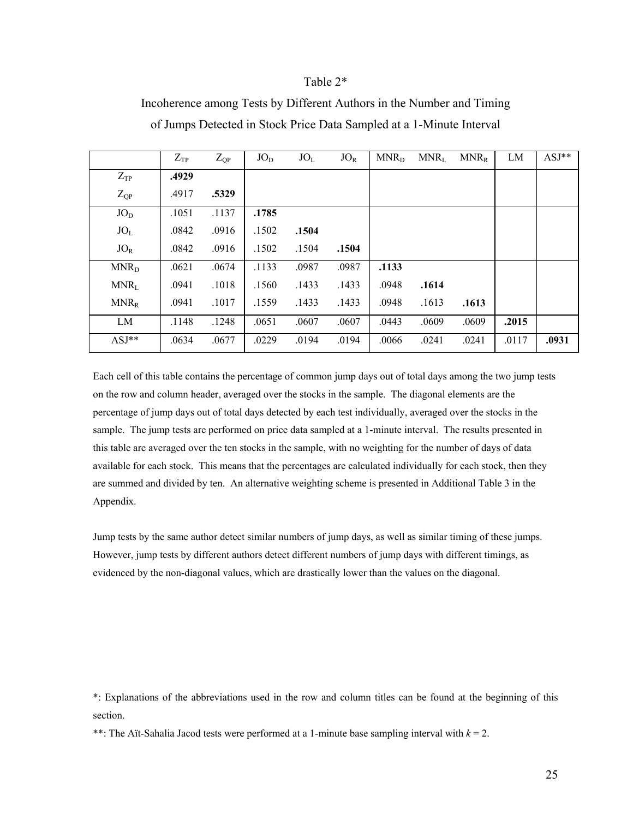#### Table 2\*

|                 | $Z_{TP}$ | $Z_{OP}$ | $JO_D$ | JO <sub>L</sub> | $JO_R$ | $MNR_D$ | $MNR_{L}$ | $MNR_R$ | LM    | $ASJ^*$ |
|-----------------|----------|----------|--------|-----------------|--------|---------|-----------|---------|-------|---------|
| $Z_{TP}$        | .4929    |          |        |                 |        |         |           |         |       |         |
| $Z_{QP}$        | .4917    | .5329    |        |                 |        |         |           |         |       |         |
| $JO_D$          | .1051    | .1137    | .1785  |                 |        |         |           |         |       |         |
| JO <sub>L</sub> | .0842    | .0916    | .1502  | .1504           |        |         |           |         |       |         |
| $JO_R$          | .0842    | .0916    | .1502  | .1504           | .1504  |         |           |         |       |         |
| $MNR_D$         | .0621    | .0674    | .1133  | .0987           | .0987  | .1133   |           |         |       |         |
| $MNR_{L}$       | .0941    | .1018    | .1560  | .1433           | .1433  | .0948   | .1614     |         |       |         |
| $MNR_R$         | .0941    | .1017    | .1559  | .1433           | .1433  | .0948   | .1613     | .1613   |       |         |
| LM              | .1148    | .1248    | .0651  | .0607           | .0607  | .0443   | .0609     | .0609   | .2015 |         |
| $ASJ**$         | .0634    | .0677    | .0229  | .0194           | .0194  | .0066   | .0241     | .0241   | .0117 | .0931   |

Incoherence among Tests by Different Authors in the Number and Timing of Jumps Detected in Stock Price Data Sampled at a 1-Minute Interval

Each cell of this table contains the percentage of common jump days out of total days among the two jump tests on the row and column header, averaged over the stocks in the sample. The diagonal elements are the percentage of jump days out of total days detected by each test individually, averaged over the stocks in the sample. The jump tests are performed on price data sampled at a 1-minute interval. The results presented in this table are averaged over the ten stocks in the sample, with no weighting for the number of days of data available for each stock. This means that the percentages are calculated individually for each stock, then they are summed and divided by ten. An alternative weighting scheme is presented in Additional Table 3 in the Appendix.

Jump tests by the same author detect similar numbers of jump days, as well as similar timing of these jumps. However, jump tests by different authors detect different numbers of jump days with different timings, as evidenced by the non-diagonal values, which are drastically lower than the values on the diagonal.

\*: Explanations of the abbreviations used in the row and column titles can be found at the beginning of this section.

\*\*: The Aït-Sahalia Jacod tests were performed at a 1-minute base sampling interval with  $k = 2$ .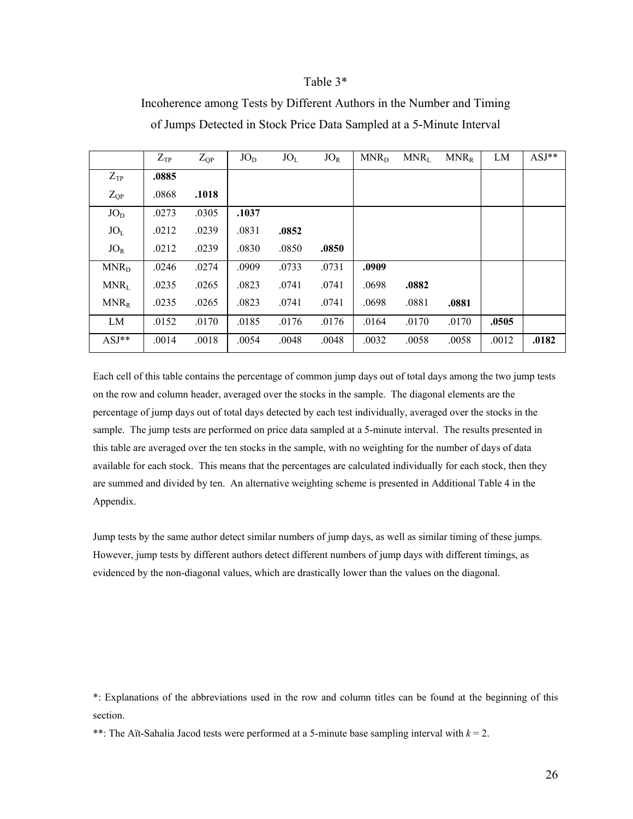#### Table 3\*

|                  | $Z_{TP}$ | $Z_{OP}$ | $JO_D$ | JO <sub>L</sub> | $JO_R$ | $MNR_D$ | $MNR_{L}$ | $MNR_{R}$ | LM    | $ASJ**$ |
|------------------|----------|----------|--------|-----------------|--------|---------|-----------|-----------|-------|---------|
| $Z_{TP}$         | .0885    |          |        |                 |        |         |           |           |       |         |
| $Z_{QP}$         | .0868    | .1018    |        |                 |        |         |           |           |       |         |
| $JO_D$           | .0273    | .0305    | .1037  |                 |        |         |           |           |       |         |
| JO <sub>L</sub>  | .0212    | .0239    | .0831  | .0852           |        |         |           |           |       |         |
| $JO_R$           | .0212    | .0239    | .0830  | .0850           | .0850  |         |           |           |       |         |
| MNR <sub>D</sub> | .0246    | .0274    | .0909  | .0733           | .0731  | .0909   |           |           |       |         |
| $MNR_L$          | .0235    | .0265    | .0823  | .0741           | .0741  | .0698   | .0882     |           |       |         |
| $MNR_R$          | .0235    | .0265    | .0823  | .0741           | .0741  | .0698   | .0881     | .0881     |       |         |
| LM               | .0152    | .0170    | .0185  | .0176           | .0176  | .0164   | .0170     | .0170     | .0505 |         |
| $ASJ**$          | .0014    | .0018    | .0054  | .0048           | .0048  | .0032   | .0058     | .0058     | .0012 | .0182   |

### Incoherence among Tests by Different Authors in the Number and Timing of Jumps Detected in Stock Price Data Sampled at a 5-Minute Interval

Each cell of this table contains the percentage of common jump days out of total days among the two jump tests on the row and column header, averaged over the stocks in the sample. The diagonal elements are the percentage of jump days out of total days detected by each test individually, averaged over the stocks in the sample. The jump tests are performed on price data sampled at a 5-minute interval. The results presented in this table are averaged over the ten stocks in the sample, with no weighting for the number of days of data available for each stock. This means that the percentages are calculated individually for each stock, then they are summed and divided by ten. An alternative weighting scheme is presented in Additional Table 4 in the Appendix.

Jump tests by the same author detect similar numbers of jump days, as well as similar timing of these jumps. However, jump tests by different authors detect different numbers of jump days with different timings, as evidenced by the non-diagonal values, which are drastically lower than the values on the diagonal.

\*: Explanations of the abbreviations used in the row and column titles can be found at the beginning of this section.

\*\*: The Aït-Sahalia Jacod tests were performed at a 5-minute base sampling interval with  $k = 2$ .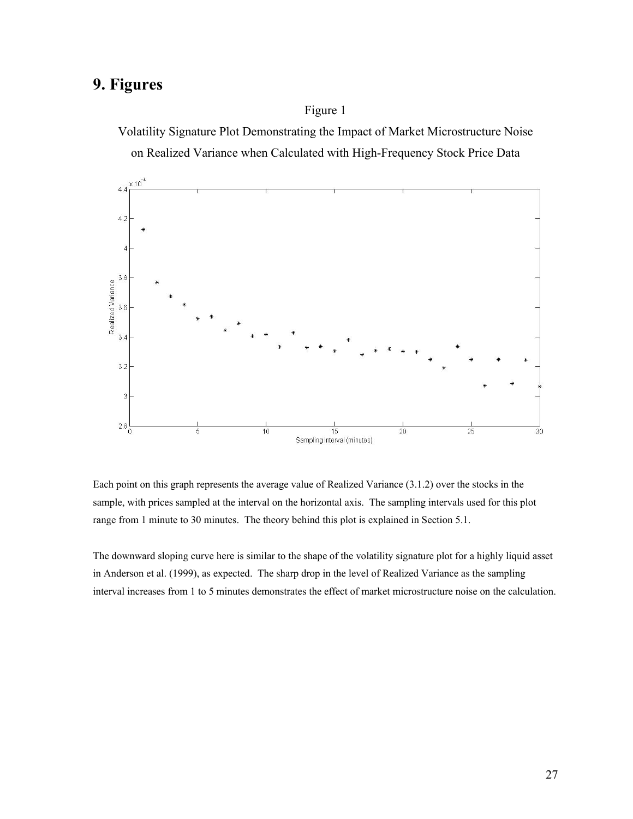# **9. Figures**

Figure 1 Volatility Signature Plot Demonstrating the Impact of Market Microstructure Noise on Realized Variance when Calculated with High-Frequency Stock Price Data



Each point on this graph represents the average value of Realized Variance (3.1.2) over the stocks in the sample, with prices sampled at the interval on the horizontal axis. The sampling intervals used for this plot range from 1 minute to 30 minutes. The theory behind this plot is explained in Section 5.1.

The downward sloping curve here is similar to the shape of the volatility signature plot for a highly liquid asset in Anderson et al. (1999), as expected. The sharp drop in the level of Realized Variance as the sampling interval increases from 1 to 5 minutes demonstrates the effect of market microstructure noise on the calculation.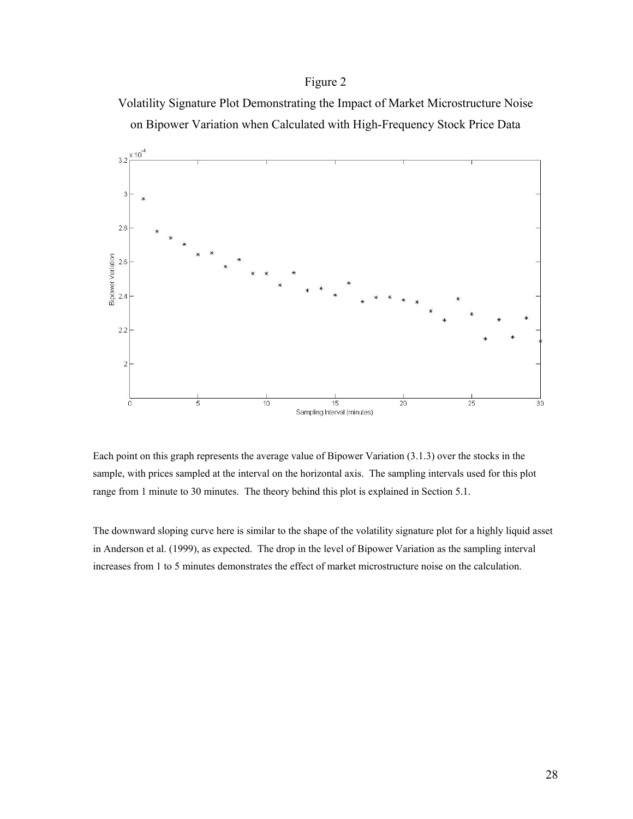### Figure 2

Volatility Signature Plot Demonstrating the Impact of Market Microstructure Noise on Bipower Variation when Calculated with High-Frequency Stock Price Data



Each point on this graph represents the average value of Bipower Variation (3.1.3) over the stocks in the sample, with prices sampled at the interval on the horizontal axis. The sampling intervals used for this plot range from 1 minute to 30 minutes. The theory behind this plot is explained in Section 5.1.

The downward sloping curve here is similar to the shape of the volatility signature plot for a highly liquid asset in Anderson et al. (1999), as expected. The drop in the level of Bipower Variation as the sampling interval increases from 1 to 5 minutes demonstrates the effect of market microstructure noise on the calculation.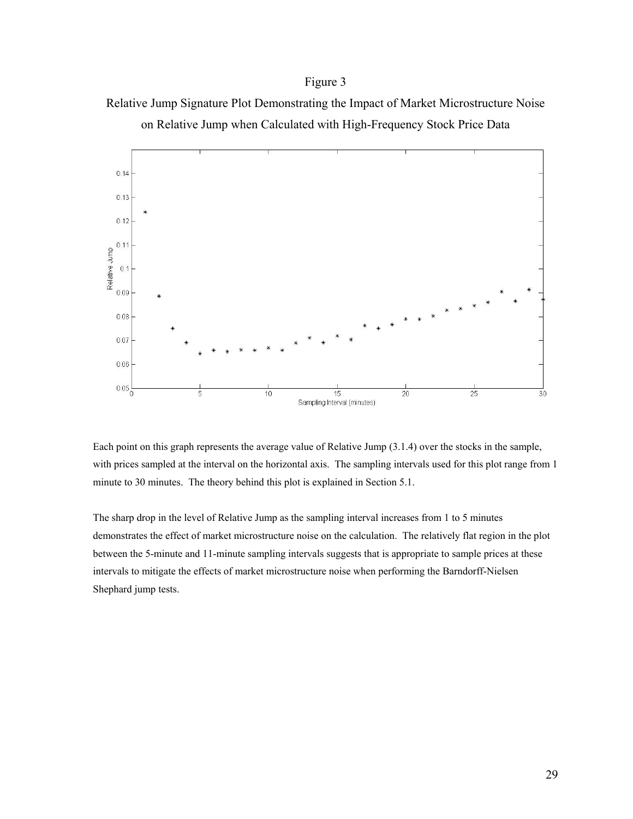### Figure 3

Relative Jump Signature Plot Demonstrating the Impact of Market Microstructure Noise on Relative Jump when Calculated with High-Frequency Stock Price Data



Each point on this graph represents the average value of Relative Jump (3.1.4) over the stocks in the sample, with prices sampled at the interval on the horizontal axis. The sampling intervals used for this plot range from 1 minute to 30 minutes. The theory behind this plot is explained in Section 5.1.

The sharp drop in the level of Relative Jump as the sampling interval increases from 1 to 5 minutes demonstrates the effect of market microstructure noise on the calculation. The relatively flat region in the plot between the 5-minute and 11-minute sampling intervals suggests that is appropriate to sample prices at these intervals to mitigate the effects of market microstructure noise when performing the Barndorff-Nielsen Shephard jump tests.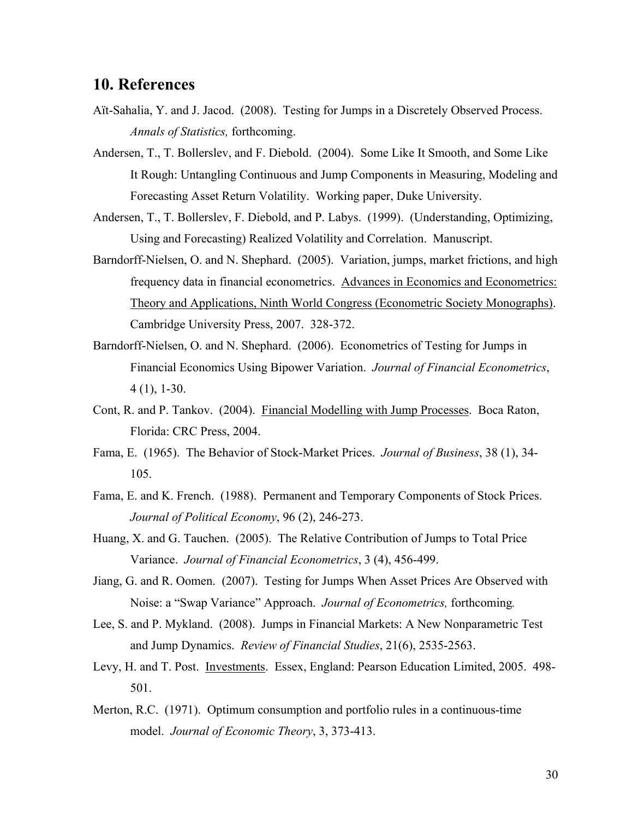### **10. References**

- Aїt-Sahalia, Y. and J. Jacod. (2008). Testing for Jumps in a Discretely Observed Process. *Annals of Statistics,* forthcoming.
- Andersen, T., T. Bollerslev, and F. Diebold. (2004). Some Like It Smooth, and Some Like It Rough: Untangling Continuous and Jump Components in Measuring, Modeling and Forecasting Asset Return Volatility. Working paper, Duke University.
- Andersen, T., T. Bollerslev, F. Diebold, and P. Labys. (1999). (Understanding, Optimizing, Using and Forecasting) Realized Volatility and Correlation. Manuscript.
- Barndorff-Nielsen, O. and N. Shephard. (2005). Variation, jumps, market frictions, and high frequency data in financial econometrics. Advances in Economics and Econometrics: Theory and Applications, Ninth World Congress (Econometric Society Monographs). Cambridge University Press, 2007. 328-372.
- Barndorff-Nielsen, O. and N. Shephard. (2006). Econometrics of Testing for Jumps in Financial Economics Using Bipower Variation. *Journal of Financial Econometrics*, 4 (1), 1-30.
- Cont, R. and P. Tankov. (2004). Financial Modelling with Jump Processes. Boca Raton, Florida: CRC Press, 2004.
- Fama, E. (1965). The Behavior of Stock-Market Prices. *Journal of Business*, 38 (1), 34- 105.
- Fama, E. and K. French. (1988). Permanent and Temporary Components of Stock Prices. *Journal of Political Economy*, 96 (2), 246-273.
- Huang, X. and G. Tauchen. (2005). The Relative Contribution of Jumps to Total Price Variance. *Journal of Financial Econometrics*, 3 (4), 456-499.
- Jiang, G. and R. Oomen. (2007). Testing for Jumps When Asset Prices Are Observed with Noise: a "Swap Variance" Approach. *Journal of Econometrics,* forthcoming*.*
- Lee, S. and P. Mykland. (2008). Jumps in Financial Markets: A New Nonparametric Test and Jump Dynamics. *Review of Financial Studies*, 21(6), 2535-2563.
- Levy, H. and T. Post. Investments. Essex, England: Pearson Education Limited, 2005. 498- 501.
- Merton, R.C. (1971). Optimum consumption and portfolio rules in a continuous-time model. *Journal of Economic Theory*, 3, 373-413.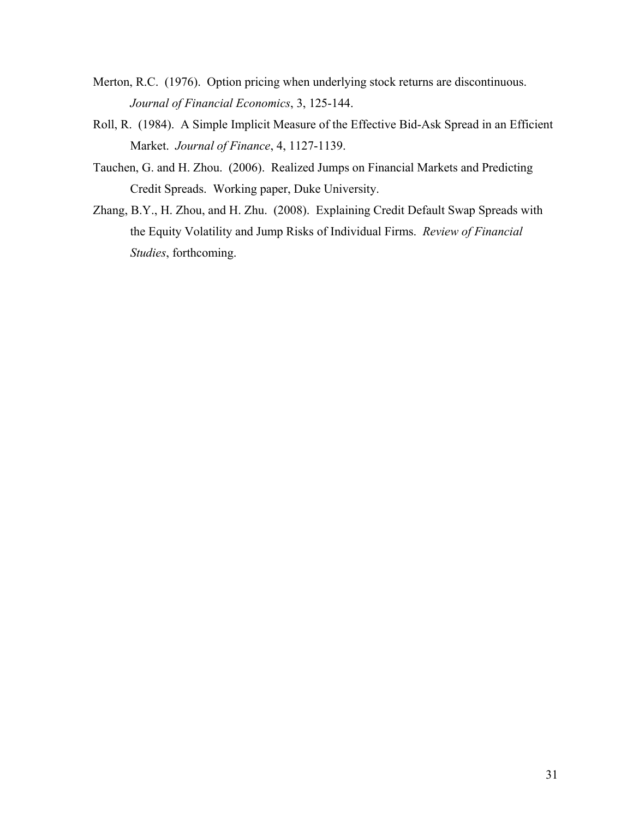- Merton, R.C. (1976). Option pricing when underlying stock returns are discontinuous. *Journal of Financial Economics*, 3, 125-144.
- Roll, R. (1984). A Simple Implicit Measure of the Effective Bid-Ask Spread in an Efficient Market. *Journal of Finance*, 4, 1127-1139.
- Tauchen, G. and H. Zhou. (2006). Realized Jumps on Financial Markets and Predicting Credit Spreads. Working paper, Duke University.
- Zhang, B.Y., H. Zhou, and H. Zhu. (2008). Explaining Credit Default Swap Spreads with the Equity Volatility and Jump Risks of Individual Firms. *Review of Financial Studies*, forthcoming.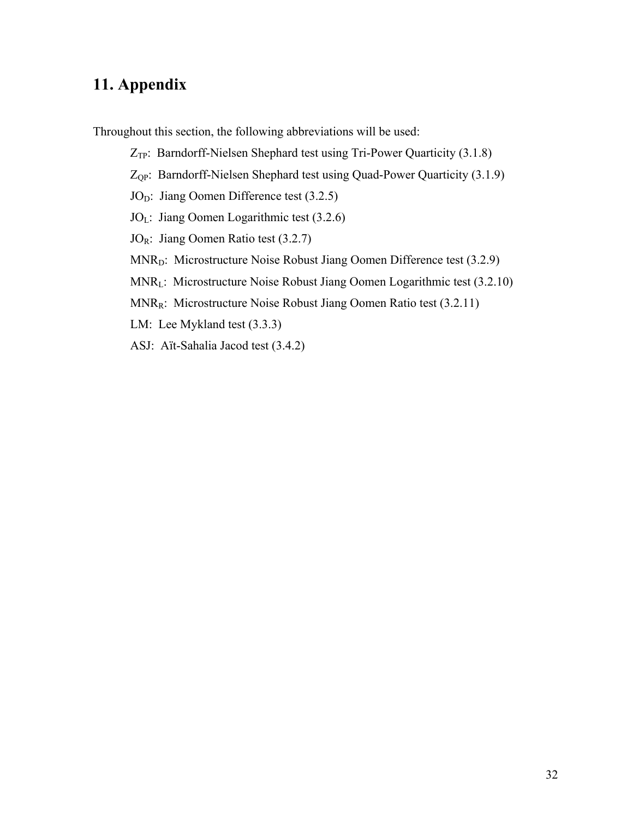# **11. Appendix**

Throughout this section, the following abbreviations will be used:

 $Z_{TP}$ : Barndorff-Nielsen Shephard test using Tri-Power Quarticity (3.1.8)

Z<sub>OP</sub>: Barndorff-Nielsen Shephard test using Quad-Power Quarticity (3.1.9)

JO<sub>D</sub>: Jiang Oomen Difference test (3.2.5)

 $JO_L$ : Jiang Oomen Logarithmic test (3.2.6)

JOR: Jiang Oomen Ratio test (3.2.7)

MNR<sub>D</sub>: Microstructure Noise Robust Jiang Oomen Difference test (3.2.9)

MNRL: Microstructure Noise Robust Jiang Oomen Logarithmic test (3.2.10)

MNRR: Microstructure Noise Robust Jiang Oomen Ratio test (3.2.11)

LM: Lee Mykland test (3.3.3)

ASJ: Aїt-Sahalia Jacod test (3.4.2)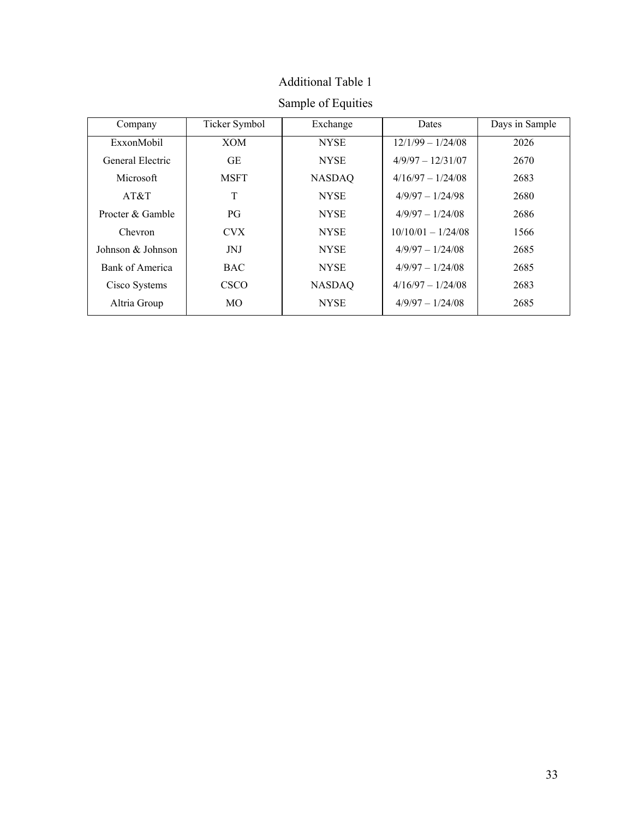| Company              | Ticker Symbol  | Exchange      | Dates                | Days in Sample |
|----------------------|----------------|---------------|----------------------|----------------|
| ExxonMobil           | <b>XOM</b>     | <b>NYSE</b>   | $12/1/99 - 1/24/08$  | 2026           |
| General Electric     | GE             | <b>NYSE</b>   | $4/9/97 - 12/31/07$  | 2670           |
| Microsoft            | <b>MSFT</b>    | <b>NASDAQ</b> | $4/16/97 - 1/24/08$  | 2683           |
| AT&T                 | T              | <b>NYSE</b>   | $4/9/97 - 1/24/98$   | 2680           |
| Procter $\&$ Gamble  | PG             | <b>NYSE</b>   | $4/9/97 - 1/24/08$   | 2686           |
| Chevron              | <b>CVX</b>     | <b>NYSE</b>   | $10/10/01 - 1/24/08$ | 1566           |
| Johnson $\&$ Johnson | JNJ            | <b>NYSE</b>   | $4/9/97 - 1/24/08$   | 2685           |
| Bank of America      | <b>BAC</b>     | <b>NYSE</b>   | $4/9/97 - 1/24/08$   | 2685           |
| Cisco Systems        | <b>CSCO</b>    | <b>NASDAQ</b> | $4/16/97 - 1/24/08$  | 2683           |
| Altria Group         | M <sub>O</sub> | <b>NYSE</b>   | $4/9/97 - 1/24/08$   | 2685           |

# Additional Table 1 Sample of Equities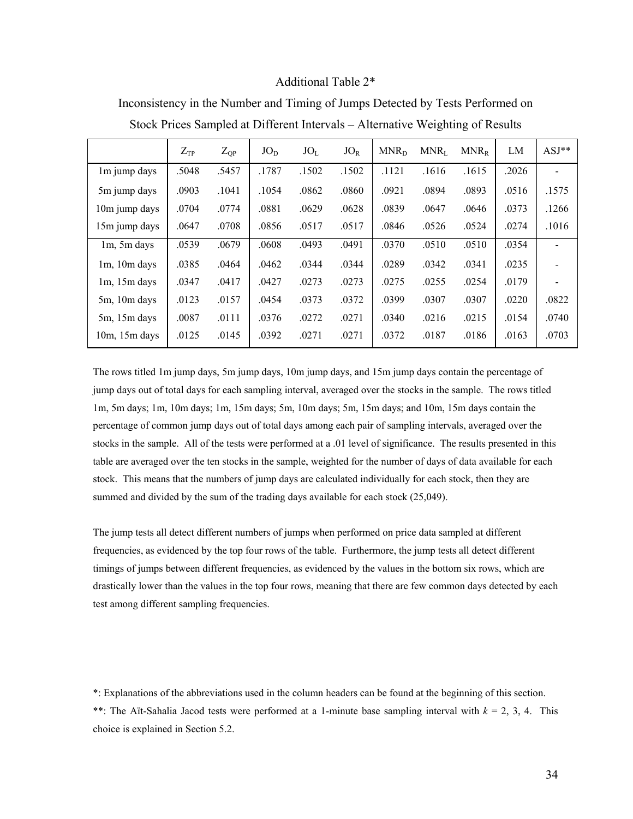#### Additional Table 2\*

|                    | $Z_{TP}$ | $Z_{OP}$ | $JO_D$ | JO <sub>L</sub> | $JO_R$ | MNR <sub>D</sub> | $MNR_L$ | $MNR_R$ | LM    | $ASJ**$ |
|--------------------|----------|----------|--------|-----------------|--------|------------------|---------|---------|-------|---------|
| 1m jump days       | .5048    | .5457    | .1787  | .1502           | .1502  | .1121            | .1616   | .1615   | .2026 |         |
| 5m jump days       | .0903    | .1041    | .1054  | .0862           | .0860  | .0921            | .0894   | .0893   | .0516 | .1575   |
| 10m jump days      | .0704    | .0774    | .0881  | .0629           | .0628  | .0839            | .0647   | .0646   | .0373 | .1266   |
| 15m jump days      | .0647    | .0708    | .0856  | .0517           | .0517  | .0846            | .0526   | .0524   | .0274 | .1016   |
| $1m$ , 5 $m$ days  | .0539    | .0679    | .0608  | .0493           | .0491  | .0370            | .0510   | .0510   | .0354 |         |
| $1m$ , $10m$ days  | .0385    | .0464    | .0462  | .0344           | .0344  | .0289            | .0342   | .0341   | .0235 |         |
| $1m$ , $15m$ days  | .0347    | .0417    | .0427  | .0273           | .0273  | .0275            | .0255   | .0254   | .0179 |         |
| $5m$ , 10 $m$ days | .0123    | .0157    | .0454  | .0373           | .0372  | .0399            | .0307   | .0307   | .0220 | .0822   |
| $5m$ , $15m$ days  | .0087    | .0111    | .0376  | .0272           | .0271  | .0340            | .0216   | .0215   | .0154 | .0740   |
| $10m$ , $15m$ days | .0125    | .0145    | .0392  | .0271           | .0271  | .0372            | .0187   | .0186   | .0163 | .0703   |

Inconsistency in the Number and Timing of Jumps Detected by Tests Performed on Stock Prices Sampled at Different Intervals – Alternative Weighting of Results

The rows titled 1m jump days, 5m jump days, 10m jump days, and 15m jump days contain the percentage of jump days out of total days for each sampling interval, averaged over the stocks in the sample. The rows titled 1m, 5m days; 1m, 10m days; 1m, 15m days; 5m, 10m days; 5m, 15m days; and 10m, 15m days contain the percentage of common jump days out of total days among each pair of sampling intervals, averaged over the stocks in the sample. All of the tests were performed at a .01 level of significance. The results presented in this table are averaged over the ten stocks in the sample, weighted for the number of days of data available for each stock. This means that the numbers of jump days are calculated individually for each stock, then they are summed and divided by the sum of the trading days available for each stock (25,049).

The jump tests all detect different numbers of jumps when performed on price data sampled at different frequencies, as evidenced by the top four rows of the table. Furthermore, the jump tests all detect different timings of jumps between different frequencies, as evidenced by the values in the bottom six rows, which are drastically lower than the values in the top four rows, meaning that there are few common days detected by each test among different sampling frequencies.

\*: Explanations of the abbreviations used in the column headers can be found at the beginning of this section. \*\*: The Aït-Sahalia Jacod tests were performed at a 1-minute base sampling interval with  $k = 2, 3, 4$ . This choice is explained in Section 5.2.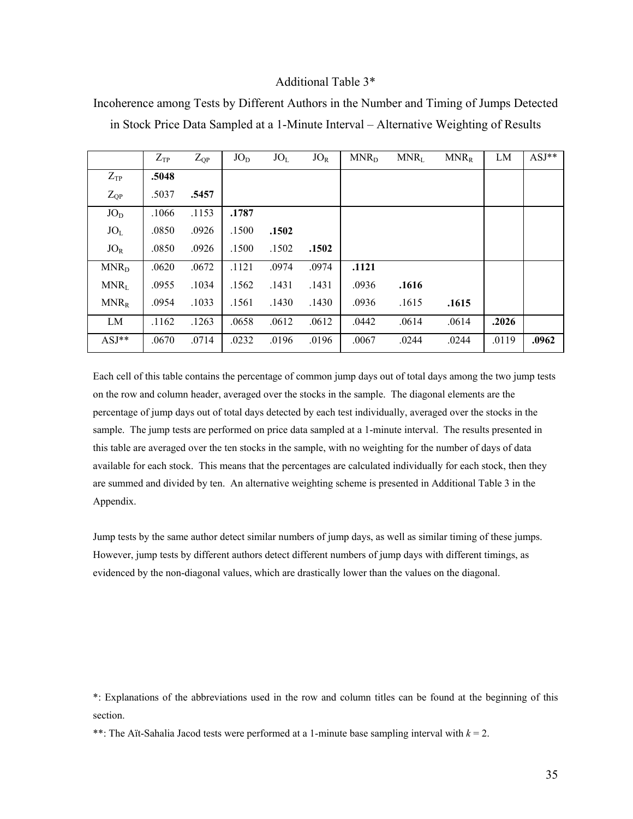#### Additional Table 3\*

|                  | $Z_{TP}$ | $Z_{QP}$ | $JO_D$ | JO <sub>L</sub> | $JO_R$ | $MNR_{D}$ | $MNR_{L}$ | $MNR_R$ | LM    | $ASJ^*$ |
|------------------|----------|----------|--------|-----------------|--------|-----------|-----------|---------|-------|---------|
| $Z_{TP}$         | .5048    |          |        |                 |        |           |           |         |       |         |
| $Z_{OP}$         | .5037    | .5457    |        |                 |        |           |           |         |       |         |
| $JO_D$           | .1066    | .1153    | .1787  |                 |        |           |           |         |       |         |
| JO <sub>L</sub>  | .0850    | .0926    | .1500  | .1502           |        |           |           |         |       |         |
| $JO_R$           | .0850    | .0926    | .1500  | .1502           | .1502  |           |           |         |       |         |
| MNR <sub>D</sub> | .0620    | .0672    | .1121  | .0974           | .0974  | .1121     |           |         |       |         |
| $MNR_L$          | .0955    | .1034    | .1562  | .1431           | .1431  | .0936     | .1616     |         |       |         |
| $MNR_R$          | .0954    | .1033    | .1561  | .1430           | .1430  | .0936     | .1615     | .1615   |       |         |
| LM               | .1162    | .1263    | .0658  | .0612           | .0612  | .0442     | .0614     | .0614   | .2026 |         |
| $ASJ**$          | .0670    | .0714    | .0232  | .0196           | .0196  | .0067     | .0244     | .0244   | .0119 | .0962   |

Incoherence among Tests by Different Authors in the Number and Timing of Jumps Detected in Stock Price Data Sampled at a 1-Minute Interval – Alternative Weighting of Results

Each cell of this table contains the percentage of common jump days out of total days among the two jump tests on the row and column header, averaged over the stocks in the sample. The diagonal elements are the percentage of jump days out of total days detected by each test individually, averaged over the stocks in the sample. The jump tests are performed on price data sampled at a 1-minute interval. The results presented in this table are averaged over the ten stocks in the sample, with no weighting for the number of days of data available for each stock. This means that the percentages are calculated individually for each stock, then they are summed and divided by ten. An alternative weighting scheme is presented in Additional Table 3 in the Appendix.

Jump tests by the same author detect similar numbers of jump days, as well as similar timing of these jumps. However, jump tests by different authors detect different numbers of jump days with different timings, as evidenced by the non-diagonal values, which are drastically lower than the values on the diagonal.

\*: Explanations of the abbreviations used in the row and column titles can be found at the beginning of this section.

\*\*: The Aït-Sahalia Jacod tests were performed at a 1-minute base sampling interval with  $k = 2$ .